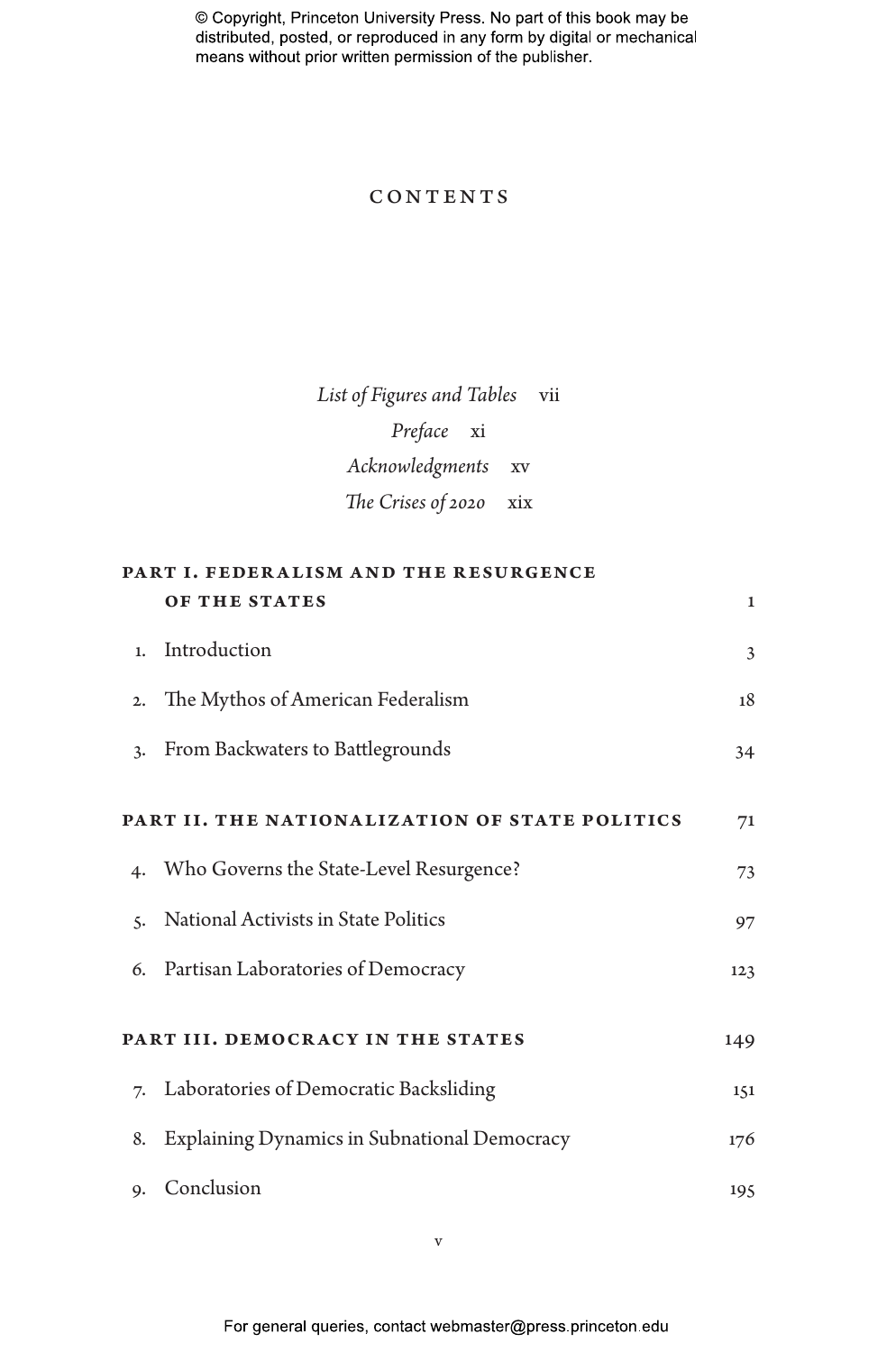## **CONTENTS**

*List of Figures and Tables* vii *Preface* xi *Acknowledgments* xv *The Crises of 2020* xix

| PART I. FEDERALISM AND THE RESURGENCE          |                                              |              |
|------------------------------------------------|----------------------------------------------|--------------|
|                                                | OF THE STATES                                | $\mathbf{1}$ |
| 1.                                             | Introduction                                 | 3            |
| 2.                                             | The Mythos of American Federalism            | 18           |
| 3.                                             | From Backwaters to Battlegrounds             | 34           |
| PART II. THE NATIONALIZATION OF STATE POLITICS |                                              | 71           |
|                                                | 4. Who Governs the State-Level Resurgence?   | 73           |
| 5.                                             | National Activists in State Politics         | 97           |
|                                                | 6. Partisan Laboratories of Democracy        | 123          |
| PART III. DEMOCRACY IN THE STATES              |                                              | 149          |
|                                                | 7. Laboratories of Democratic Backsliding    | 151          |
| 8.                                             | Explaining Dynamics in Subnational Democracy | 176          |
| 9.                                             | Conclusion                                   | 195          |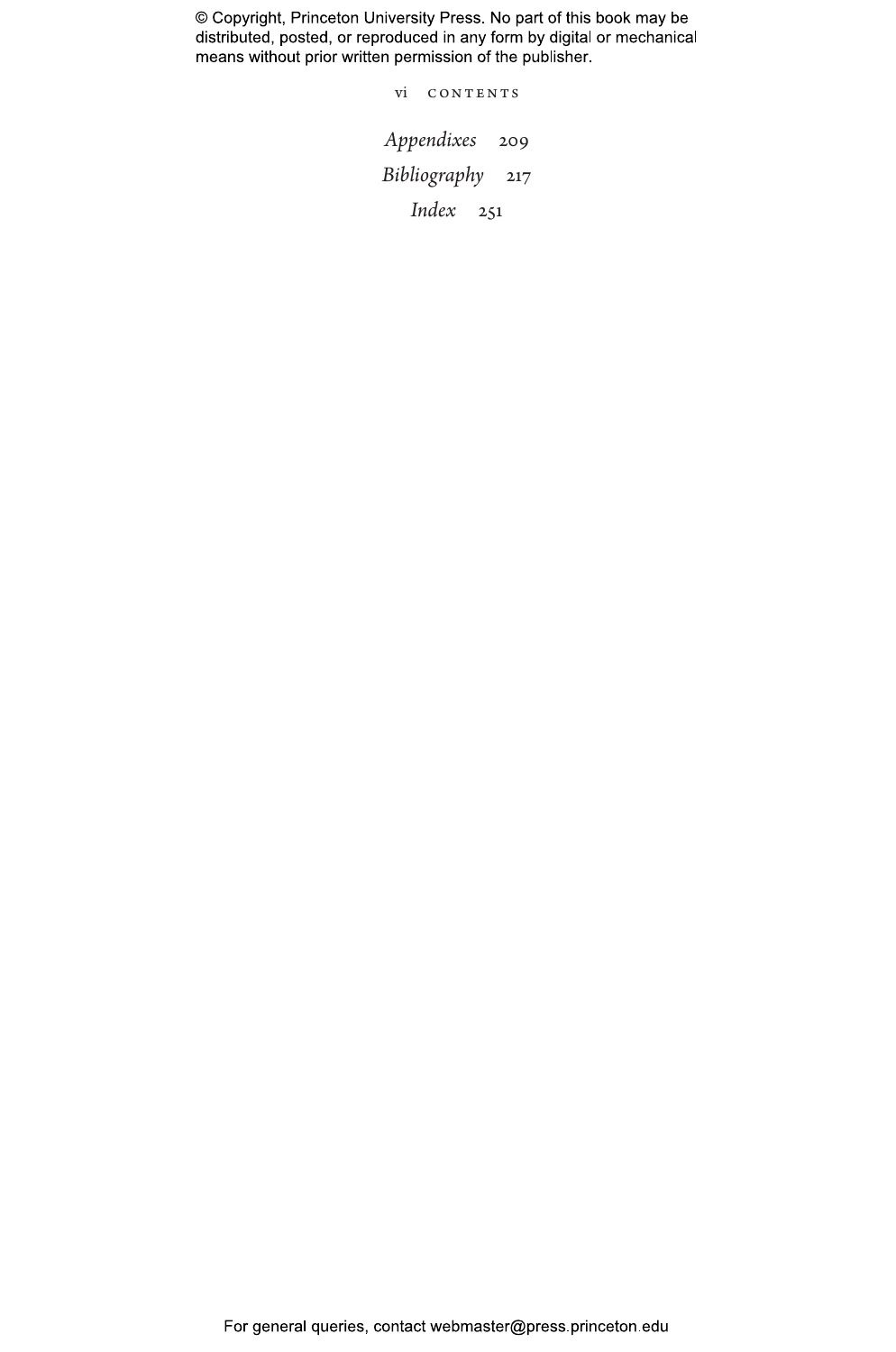vi CONTENTS

*Appendixes* 209 *Bibliography* 217 *Index* 251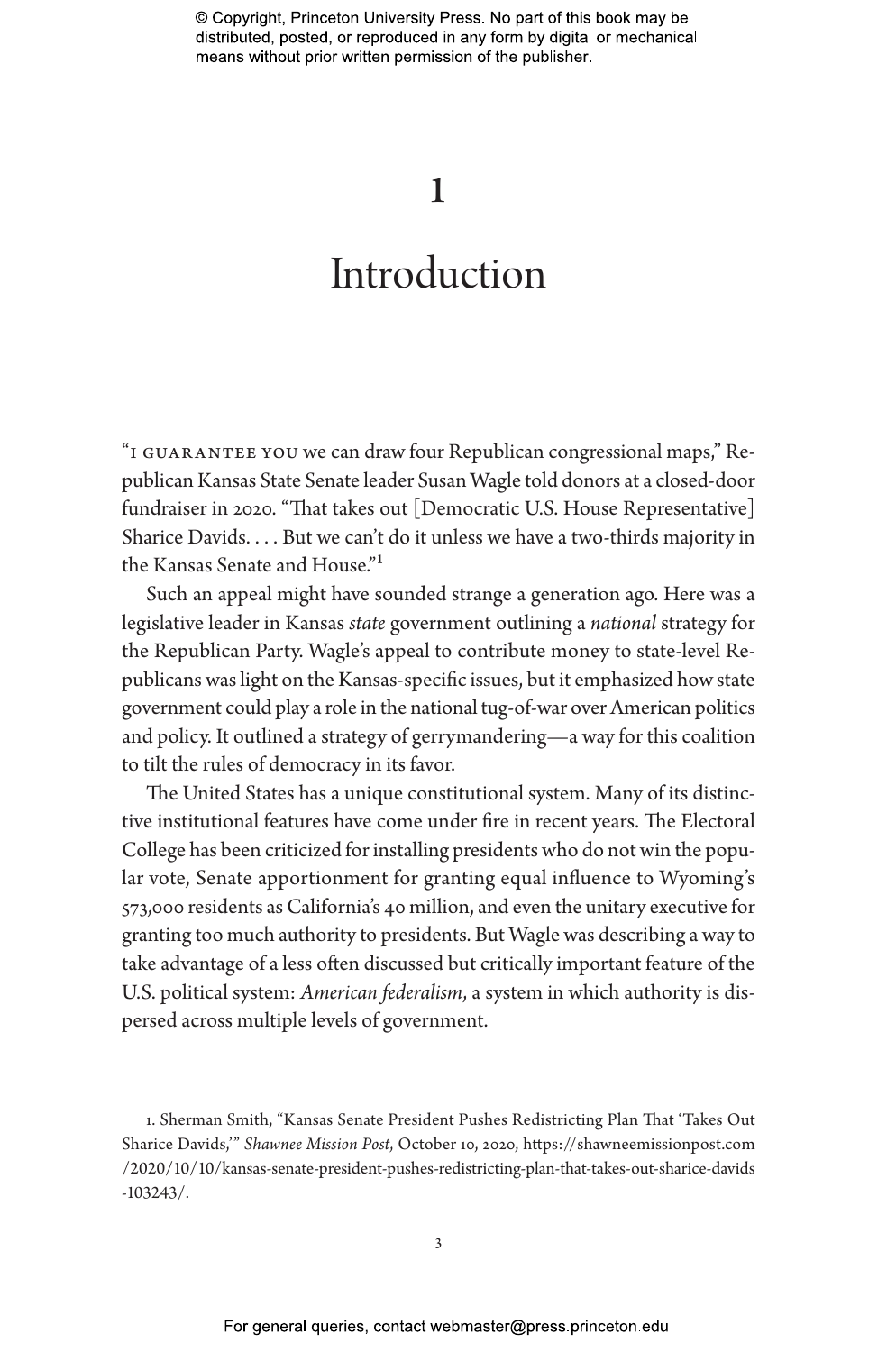## 1

# Introduction

"I GUARANTEE YOU we can draw four Republican congressional maps," Republican Kansas State Senate leader Susan Wagle told donors at a closed-door fundraiser in 2020. "That takes out [Democratic U.S. House Representative] Sharice Davids. . . . But we can't do it unless we have a two-thirds majority in the Kansas Senate and House."1

Such an appeal might have sounded strange a generation ago. Here was a legislative leader in Kansas *state* government outlining a *national* strategy for the Republican Party. Wagle's appeal to contribute money to state-level Republicans was light on the Kansas-specific issues, but it emphasized how state government could play a role in the national tug-of-war over American politics and policy. It outlined a strategy of gerrymandering—a way for this coalition to tilt the rules of democracy in its favor.

The United States has a unique constitutional system. Many of its distinctive institutional features have come under fire in recent years. The Electoral College has been criticized for installing presidents who do not win the popular vote, Senate apportionment for granting equal influence to Wyoming's 573,000 residents as California's 40 million, and even the unitary executive for granting too much authority to presidents. But Wagle was describing a way to take advantage of a less often discussed but critically important feature of the U.S. political system: *American federalism*, a system in which authority is dispersed across multiple levels of government.

1. Sherman Smith, "Kansas Senate President Pushes Redistricting Plan That 'Takes Out Sharice Davids,'" *Shawnee Mission Post*, October 10, 2020, https://shawneemissionpost.com /2020/10/10/kansas-senate-president-pushes-redistricting-plan-that-takes-out-sharice-davids -103243/.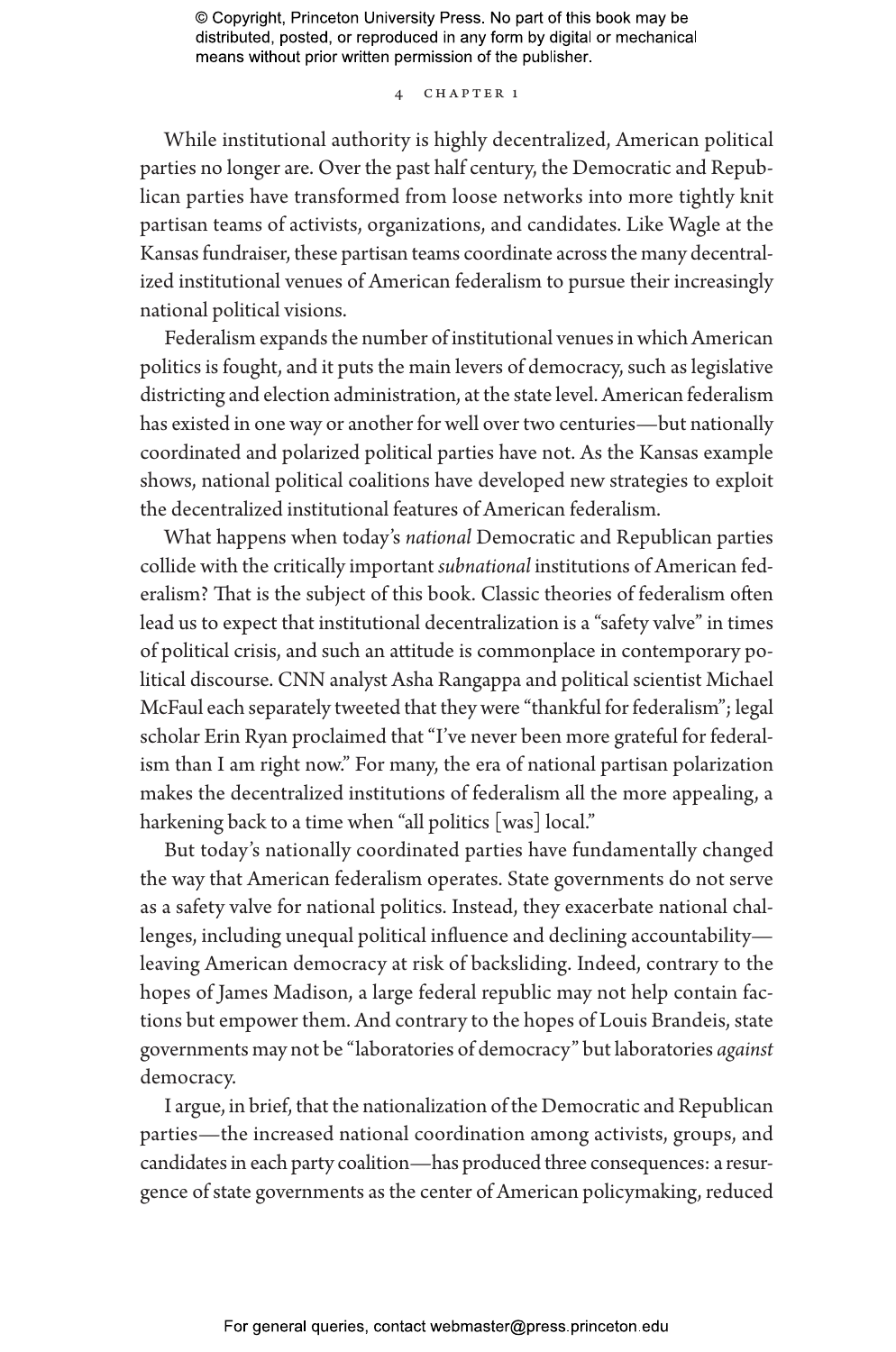4 chapter 1

While institutional authority is highly decentralized, American political parties no longer are. Over the past half century, the Democratic and Republican parties have transformed from loose networks into more tightly knit partisan teams of activists, organizations, and candidates. Like Wagle at the Kansas fundraiser, these partisan teams coordinate across the many decentralized institutional venues of American federalism to pursue their increasingly national political visions.

Federalism expands the number of institutional venues in which American politics is fought, and it puts the main levers of democracy, such as legislative districting and election administration, at the state level. American federalism has existed in one way or another for well over two centuries—but nationally coordinated and polarized political parties have not. As the Kansas example shows, national political coalitions have developed new strategies to exploit the decentralized institutional features of American federalism.

What happens when today's *national* Democratic and Republican parties collide with the critically important *subnational* institutions of American federalism? That is the subject of this book. Classic theories of federalism often lead us to expect that institutional decentralization is a "safety valve" in times of political crisis, and such an attitude is commonplace in contemporary political discourse. CNN analyst Asha Rangappa and political scientist Michael McFaul each separately tweeted that they were "thankful for federalism"; legal scholar Erin Ryan proclaimed that "I've never been more grateful for federalism than I am right now." For many, the era of national partisan polarization makes the decentralized institutions of federalism all the more appealing, a harkening back to a time when "all politics [was] local."

But today's nationally coordinated parties have fundamentally changed the way that American federalism operates. State governments do not serve as a safety valve for national politics. Instead, they exacerbate national challenges, including unequal political influence and declining accountability leaving American democracy at risk of backsliding. Indeed, contrary to the hopes of James Madison, a large federal republic may not help contain factions but empower them. And contrary to the hopes of Louis Brandeis, state governments may not be "laboratories of democracy" but laboratories *against* democracy.

I argue, in brief, that the nationalization of the Democratic and Republican parties—the increased national coordination among activists, groups, and candidates in each party coalition—has produced three consequences: a resurgence of state governments as the center of American policymaking, reduced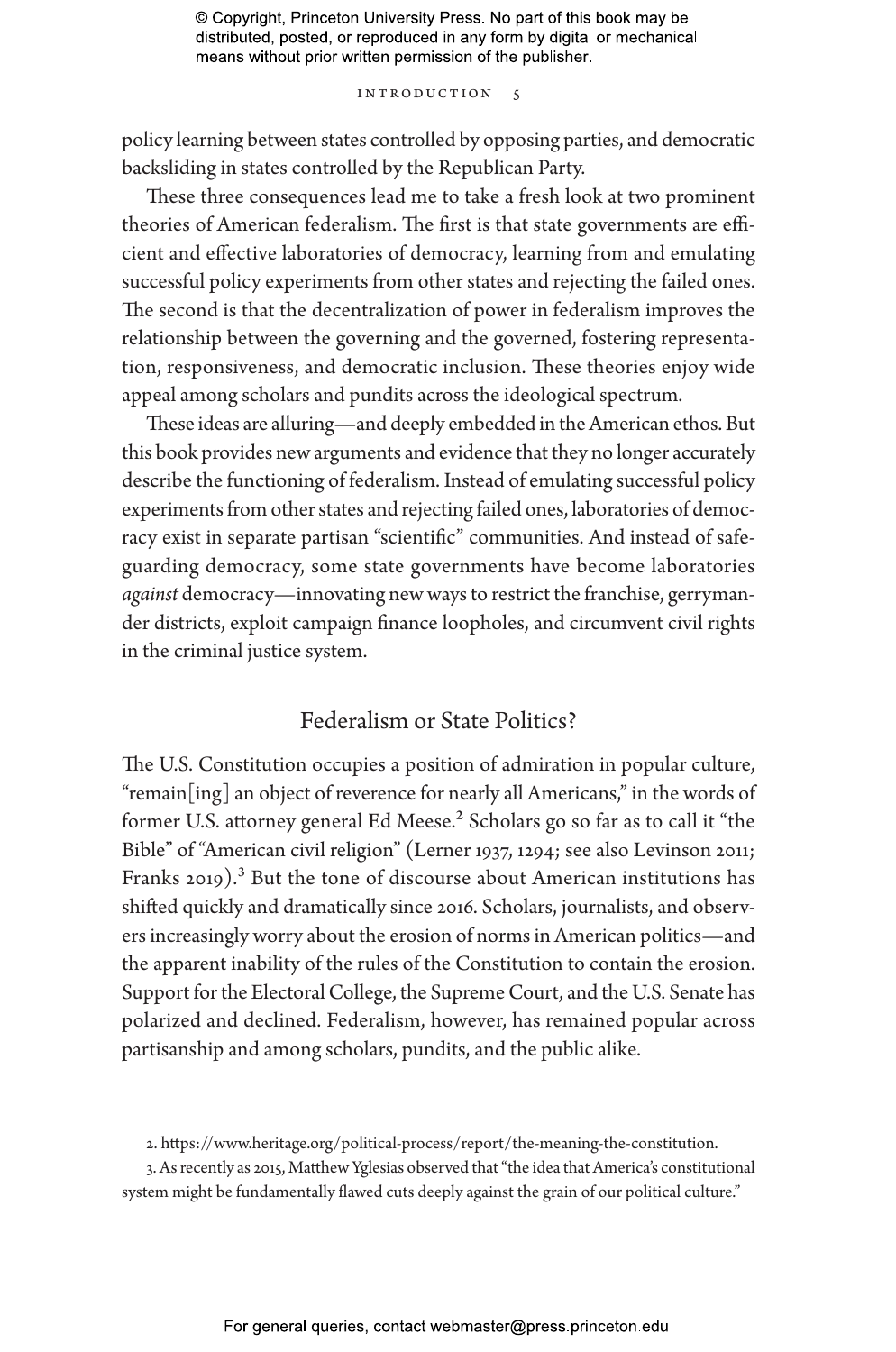#### INTRODUCTION 5

policy learning between states controlled by opposing parties, and democratic backsliding in states controlled by the Republican Party.

These three consequences lead me to take a fresh look at two prominent theories of American federalism. The first is that state governments are efficient and effective laboratories of democracy, learning from and emulating successful policy experiments from other states and rejecting the failed ones. The second is that the decentralization of power in federalism improves the relationship between the governing and the governed, fostering representation, responsiveness, and democratic inclusion. These theories enjoy wide appeal among scholars and pundits across the ideological spectrum.

These ideas are alluring—and deeply embedded in the American ethos. But this book provides new arguments and evidence that they no longer accurately describe the functioning of federalism. Instead of emulating successful policy experiments from other states and rejecting failed ones, laboratories of democracy exist in separate partisan "scientific" communities. And instead of safeguarding democracy, some state governments have become laboratories *against* democracy—innovating new ways to restrict the franchise, gerrymander districts, exploit campaign finance loopholes, and circumvent civil rights in the criminal justice system.

## Federalism or State Politics?

The U.S. Constitution occupies a position of admiration in popular culture, "remain[ing] an object of reverence for nearly all Americans," in the words of former U.S. attorney general Ed Meese.<sup>2</sup> Scholars go so far as to call it "the Bible" of "American civil religion" (Lerner 1937, 1294; see also Levinson 2011; Franks 2019).<sup>3</sup> But the tone of discourse about American institutions has shifted quickly and dramatically since 2016. Scholars, journalists, and observers increasingly worry about the erosion of norms in American politics—and the apparent inability of the rules of the Constitution to contain the erosion. Support for the Electoral College, the Supreme Court, and the U.S. Senate has polarized and declined. Federalism, however, has remained popular across partisanship and among scholars, pundits, and the public alike.

2. https://www.heritage.org/political-process/report/the-meaning-the-constitution.

3. As recently as 2015, Matthew Yglesias observed that "the idea that America's constitutional system might be fundamentally flawed cuts deeply against the grain of our political culture."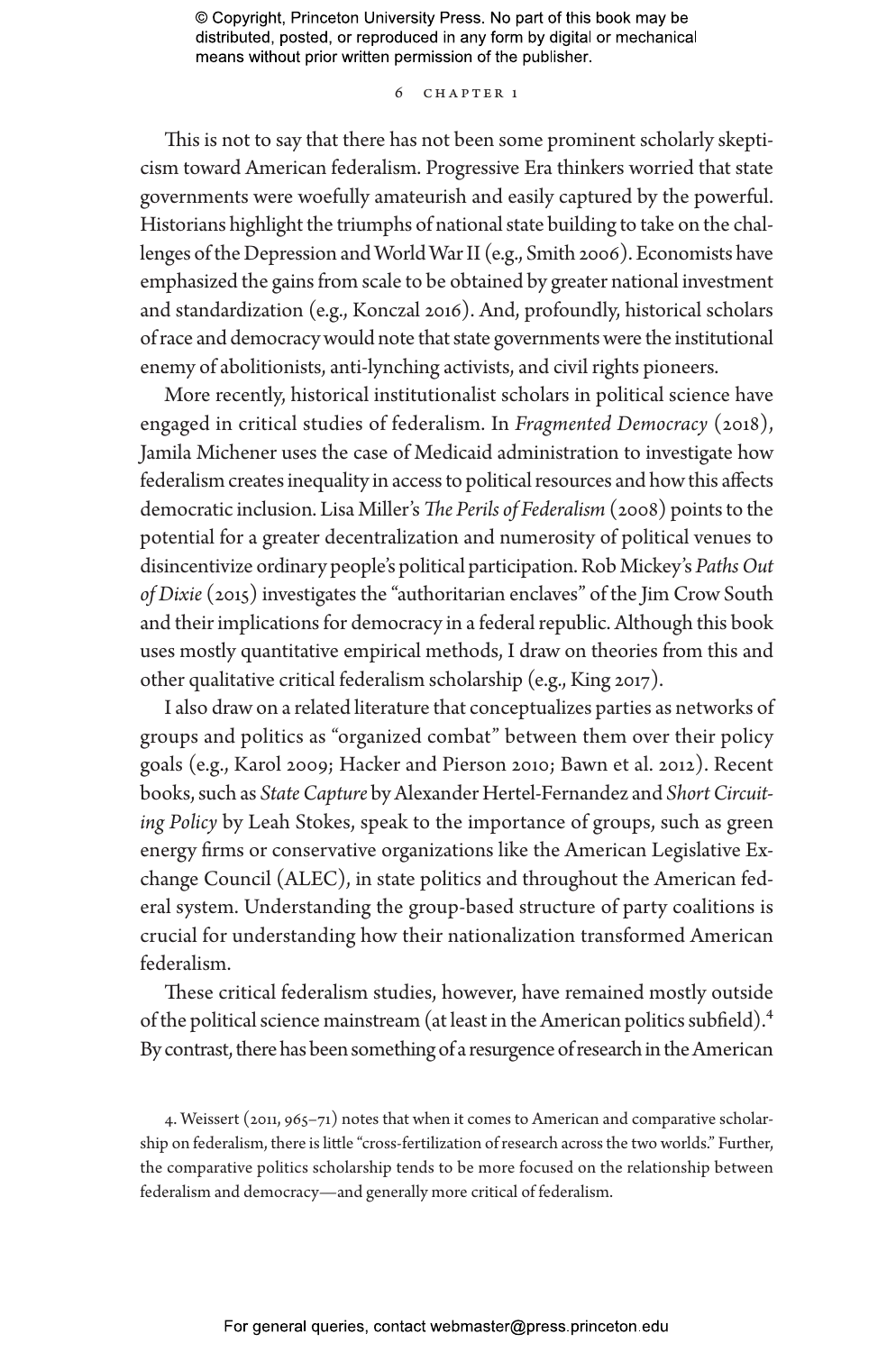## 6 chapter 1

This is not to say that there has not been some prominent scholarly skepticism toward American federalism. Progressive Era thinkers worried that state governments were woefully amateurish and easily captured by the powerful. Historians highlight the triumphs of national state building to take on the challenges of the Depression and World War II (e.g., Smith 2006). Economists have emphasized the gains from scale to be obtained by greater national investment and standardization (e.g., Konczal 2016). And, profoundly, historical scholars of race and democracy would note that state governments were the institutional enemy of abolitionists, anti-lynching activists, and civil rights pioneers.

More recently, historical institutionalist scholars in political science have engaged in critical studies of federalism. In *Fragmented Democracy* (2018), Jamila Michener uses the case of Medicaid administration to investigate how federalism creates inequality in access to political resources and how this affects democratic inclusion. Lisa Miller's *The Perils of Federalism* (2008) points to the potential for a greater decentralization and numerosity of political venues to disincentivize ordinary people's political participation. Rob Mickey's *Paths Out of Dixie* (2015) investigates the "authoritarian enclaves" of the Jim Crow South and their implications for democracy in a federal republic. Although this book uses mostly quantitative empirical methods, I draw on theories from this and other qualitative critical federalism scholarship (e.g., King 2017).

I also draw on a related literature that conceptualizes parties as networks of groups and politics as "organized combat" between them over their policy goals (e.g., Karol 2009; Hacker and Pierson 2010; Bawn et al. 2012). Recent books, such as *State Capture* by Alexander Hertel-Fernandez and *Short Circuiting Policy* by Leah Stokes, speak to the importance of groups, such as green energy firms or conservative organizations like the American Legislative Exchange Council (ALEC), in state politics and throughout the American federal system. Understanding the group-based structure of party coalitions is crucial for understanding how their nationalization transformed American federalism.

These critical federalism studies, however, have remained mostly outside of the political science mainstream (at least in the American politics subfield).4 By contrast, there has been something of a resurgence of research in the American

4. Weissert (2011, 965–71) notes that when it comes to American and comparative scholarship on federalism, there is little "cross-fertilization of research across the two worlds." Further, the comparative politics scholarship tends to be more focused on the relationship between federalism and democracy—and generally more critical of federalism.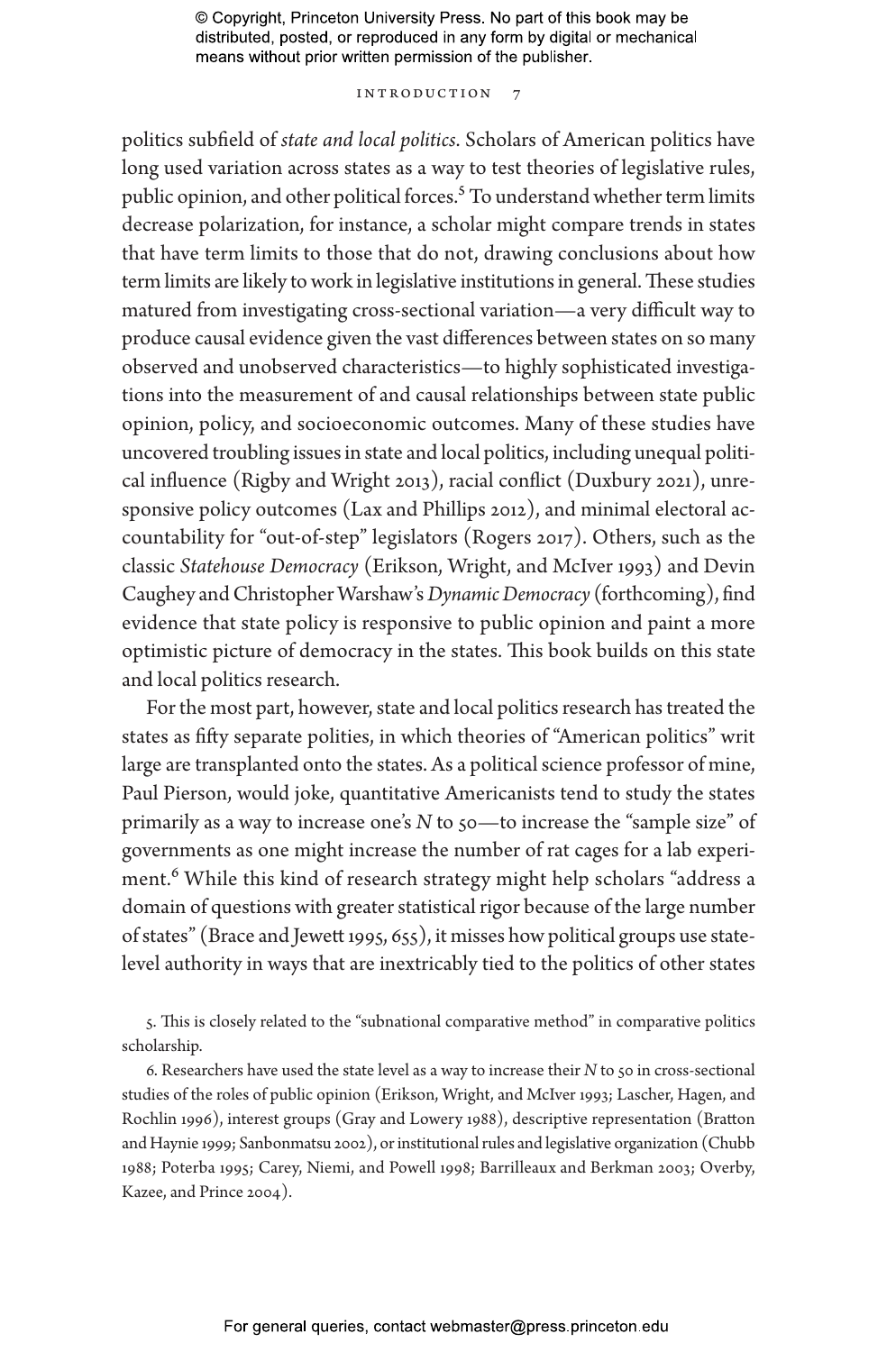#### INTRODUCTION 7

politics subfield of *state and local politics*. Scholars of American politics have long used variation across states as a way to test theories of legislative rules, public opinion, and other political forces.<sup>5</sup> To understand whether term limits decrease polarization, for instance, a scholar might compare trends in states that have term limits to those that do not, drawing conclusions about how term limits are likely to work in legislative institutions in general. These studies matured from investigating cross-sectional variation—a very difficult way to produce causal evidence given the vast differences between states on so many observed and unobserved characteristics—to highly sophisticated investigations into the measurement of and causal relationships between state public opinion, policy, and socioeconomic outcomes. Many of these studies have uncovered troubling issues in state and local politics, including unequal political influence (Rigby and Wright 2013), racial conflict (Duxbury 2021), unresponsive policy outcomes (Lax and Phillips 2012), and minimal electoral accountability for "out-of-step" legislators (Rogers 2017). Others, such as the classic *Statehouse Democracy* (Erikson, Wright, and McIver 1993) and Devin Caughey and Christopher Warshaw's *Dynamic Democracy* (forthcoming), find evidence that state policy is responsive to public opinion and paint a more optimistic picture of democracy in the states. This book builds on this state and local politics research.

For the most part, however, state and local politics research has treated the states as fifty separate polities, in which theories of "American politics" writ large are transplanted onto the states. As a political science professor of mine, Paul Pierson, would joke, quantitative Americanists tend to study the states primarily as a way to increase one's *N* to 50—to increase the "sample size" of governments as one might increase the number of rat cages for a lab experiment.<sup>6</sup> While this kind of research strategy might help scholars "address a domain of questions with greater statistical rigor because of the large number of states" (Brace and Jewett 1995, 655), it misses how political groups use statelevel authority in ways that are inextricably tied to the politics of other states

5. This is closely related to the "subnational comparative method" in comparative politics scholarship.

6. Researchers have used the state level as a way to increase their N to 50 in cross-sectional studies of the roles of public opinion (Erikson, Wright, and McIver 1993; Lascher, Hagen, and Rochlin 1996), interest groups (Gray and Lowery 1988), descriptive representation (Bratton and Haynie 1999; Sanbonmatsu 2002), or institutional rules and legislative organization (Chubb 1988; Poterba 1995; Carey, Niemi, and Powell 1998; Barrilleaux and Berkman 2003; Overby, Kazee, and Prince 2004).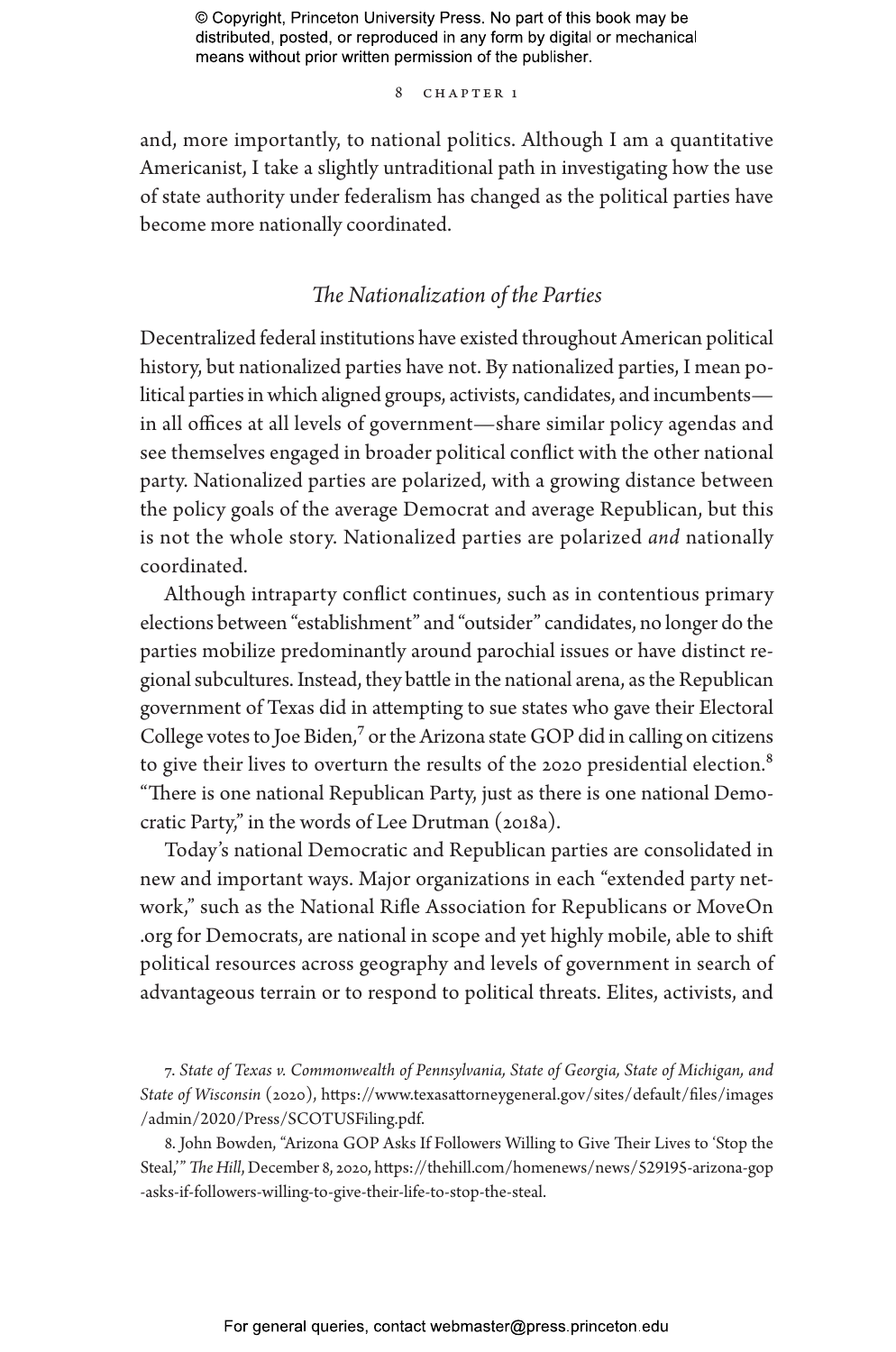8 CHAPTER 1

and, more importantly, to national politics. Although I am a quantitative Americanist, I take a slightly untraditional path in investigating how the use of state authority under federalism has changed as the political parties have become more nationally coordinated.

## *The Nationalization of the Parties*

Decentralized federal institutions have existed throughout American political history, but nationalized parties have not. By nationalized parties, I mean political parties in which aligned groups, activists, candidates, and incumbents in all offices at all levels of government—share similar policy agendas and see themselves engaged in broader political conflict with the other national party. Nationalized parties are polarized, with a growing distance between the policy goals of the average Democrat and average Republican, but this is not the whole story. Nationalized parties are polarized *and* nationally coordinated.

Although intraparty conflict continues, such as in contentious primary elections between "establishment" and "outsider" candidates, no longer do the parties mobilize predominantly around parochial issues or have distinct regional subcultures. Instead, they battle in the national arena, as the Republican government of Texas did in attempting to sue states who gave their Electoral College votes to Joe Biden,<sup>7</sup> or the Arizona state GOP did in calling on citizens to give their lives to overturn the results of the 2020 presidential election.<sup>8</sup> "There is one national Republican Party, just as there is one national Democratic Party," in the words of Lee Drutman (2018a).

Today's national Democratic and Republican parties are consolidated in new and important ways. Major organizations in each "extended party network," such as the National Rifle Association for Republicans or MoveOn .org for Democrats, are national in scope and yet highly mobile, able to shift political resources across geography and levels of government in search of advantageous terrain or to respond to political threats. Elites, activists, and

7. *State of Texas v. Commonwealth of Pennsylvania, State of Georgia, State of Michigan, and State of Wisconsin* (2020), https://www.texasattorneygeneral.gov/sites/default/files/images /admin/2020/Press/SCOTUSFiling.pdf.

8. John Bowden, "Arizona GOP Asks If Followers Willing to Give Their Lives to 'Stop the Steal,'" *The Hill*, December 8, 2020, https://thehill.com/homenews/news/529195-arizona-gop -asks-if-followers-willing-to-give-their-life-to-stop-the-steal.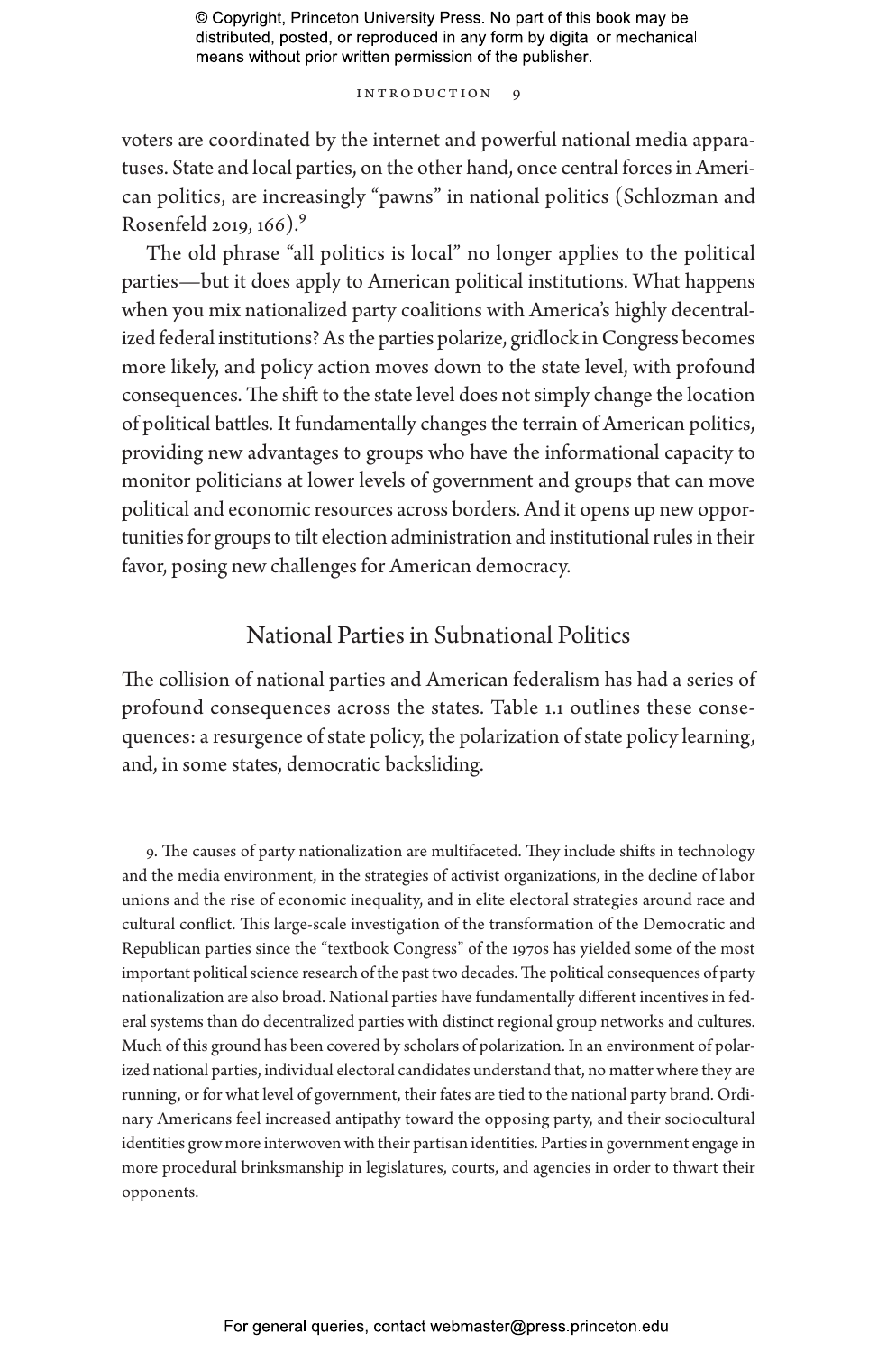#### INTRODUCTION 9

voters are coordinated by the internet and powerful national media apparatuses. State and local parties, on the other hand, once central forces in American politics, are increasingly "pawns" in national politics (Schlozman and Rosenfeld 2019, 166).9

The old phrase "all politics is local" no longer applies to the political parties—but it does apply to American political institutions. What happens when you mix nationalized party coalitions with America's highly decentralized federal institutions? As the parties polarize, gridlock in Congress becomes more likely, and policy action moves down to the state level, with profound consequences. The shift to the state level does not simply change the location of political battles. It fundamentally changes the terrain of American politics, providing new advantages to groups who have the informational capacity to monitor politicians at lower levels of government and groups that can move political and economic resources across borders. And it opens up new opportunities for groups to tilt election administration and institutional rules in their favor, posing new challenges for American democracy.

## National Parties in Subnational Politics

The collision of national parties and American federalism has had a series of profound consequences across the states. Table 1.1 outlines these consequences: a resurgence of state policy, the polarization of state policy learning, and, in some states, democratic backsliding.

9. The causes of party nationalization are multifaceted. They include shifts in technology and the media environment, in the strategies of activist organizations, in the decline of labor unions and the rise of economic inequality, and in elite electoral strategies around race and cultural conflict. This large-scale investigation of the transformation of the Democratic and Republican parties since the "textbook Congress" of the 1970s has yielded some of the most important political science research of the past two decades. The political consequences of party nationalization are also broad. National parties have fundamentally different incentives in federal systems than do decentralized parties with distinct regional group networks and cultures. Much of this ground has been covered by scholars of polarization. In an environment of polarized national parties, individual electoral candidates understand that, no matter where they are running, or for what level of government, their fates are tied to the national party brand. Ordinary Americans feel increased antipathy toward the opposing party, and their sociocultural identities grow more interwoven with their partisan identities. Parties in government engage in more procedural brinksmanship in legislatures, courts, and agencies in order to thwart their opponents.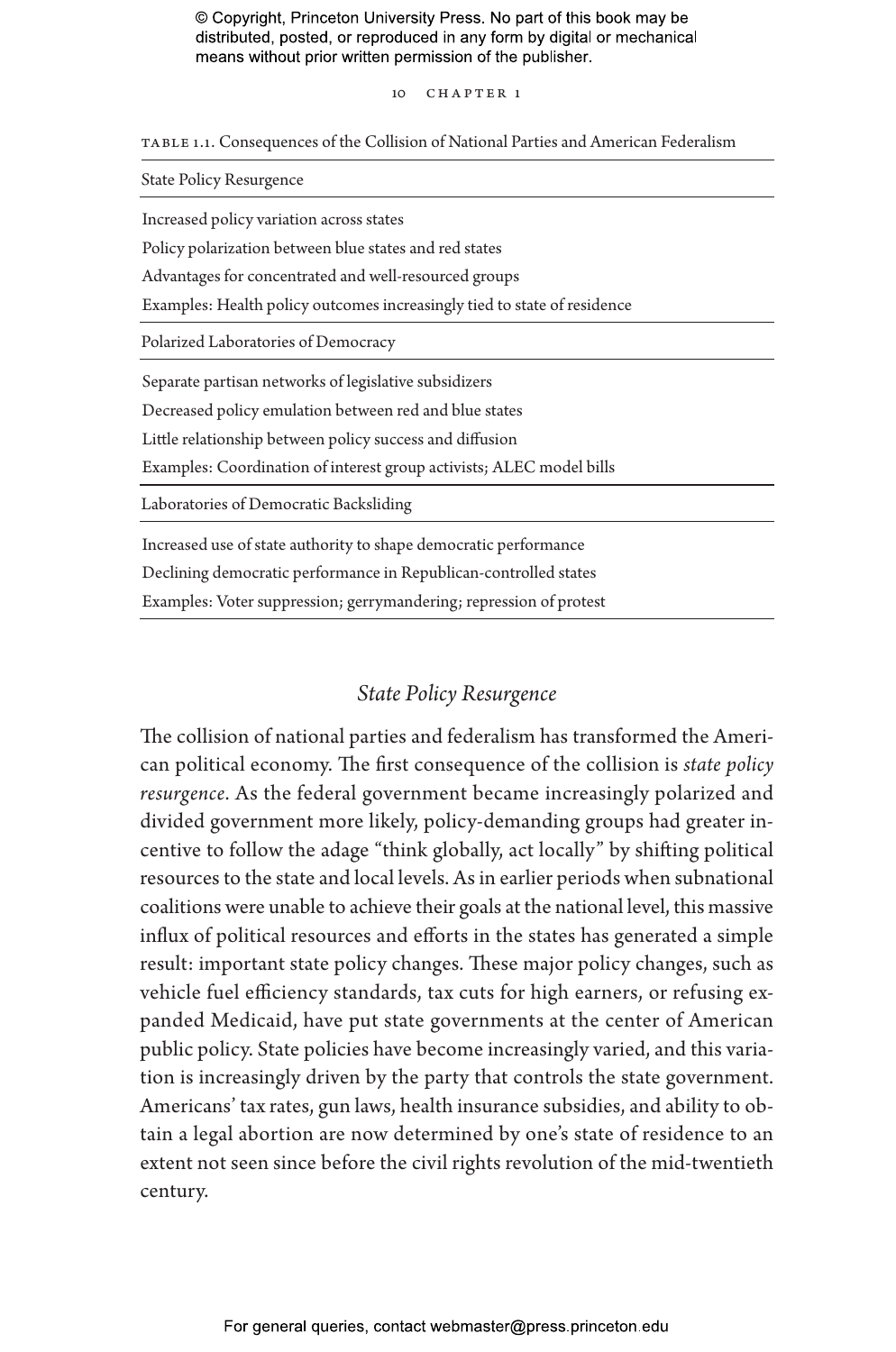10 CHAPTER 1

table 1.1. Consequences of the Collision of National Parties and American Federalism

State Policy Resurgence

Increased policy variation across states Policy polarization between blue states and red states Advantages for concentrated and well-resourced groups Examples: Health policy outcomes increasingly tied to state of residence Polarized Laboratories of Democracy Separate partisan networks of legislative subsidizers Decreased policy emulation between red and blue states Little relationship between policy success and diffusion Examples: Coordination of interest group activists; ALEC model bills Laboratories of Democratic Backsliding Increased use of state authority to shape democratic performance Declining democratic performance in Republican-controlled states Examples: Voter suppression; gerrymandering; repression of protest

## *State Policy Resurgence*

The collision of national parties and federalism has transformed the American political economy. The first consequence of the collision is *state policy resurgence*. As the federal government became increasingly polarized and divided government more likely, policy-demanding groups had greater incentive to follow the adage "think globally, act locally" by shifting political resources to the state and local levels. As in earlier periods when subnational coalitions were unable to achieve their goals at the national level, this massive influx of political resources and efforts in the states has generated a simple result: important state policy changes. These major policy changes, such as vehicle fuel efficiency standards, tax cuts for high earners, or refusing expanded Medicaid, have put state governments at the center of American public policy. State policies have become increasingly varied, and this variation is increasingly driven by the party that controls the state government. Americans' tax rates, gun laws, health insurance subsidies, and ability to obtain a legal abortion are now determined by one's state of residence to an extent not seen since before the civil rights revolution of the mid-twentieth century.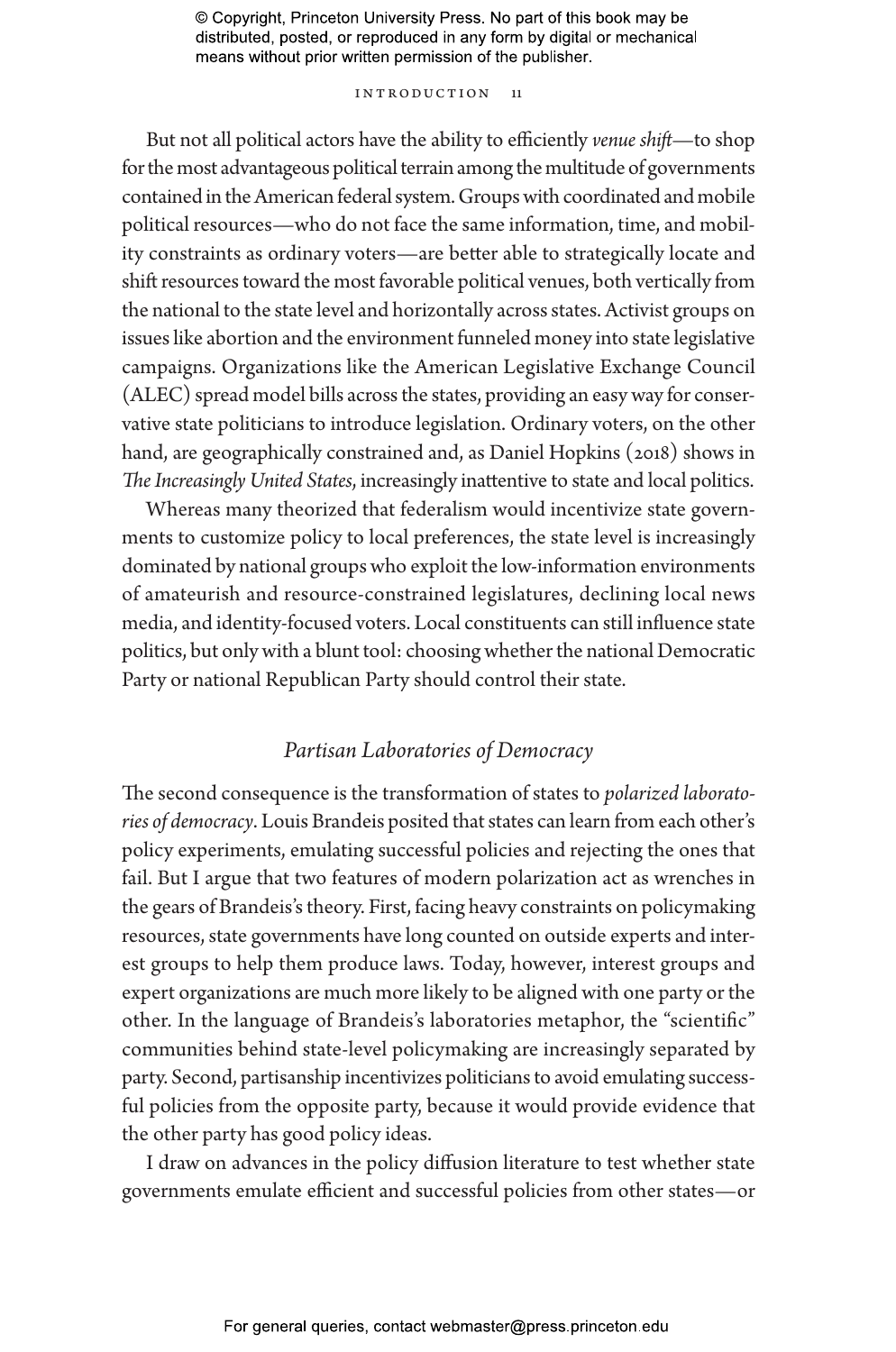#### INTRODUCTION 11

But not all political actors have the ability to efficiently *venue shift*—to shop for the most advantageous political terrain among the multitude of governments contained in the American federal system. Groups with coordinated and mobile political resources—who do not face the same information, time, and mobility constraints as ordinary voters—are better able to strategically locate and shift resources toward the most favorable political venues, both vertically from the national to the state level and horizontally across states. Activist groups on issues like abortion and the environment funneled money into state legislative campaigns. Organizations like the American Legislative Exchange Council (ALEC) spread model bills across the states, providing an easy way for conservative state politicians to introduce legislation. Ordinary voters, on the other hand, are geographically constrained and, as Daniel Hopkins (2018) shows in *The Increasingly United States*, increasingly inattentive to state and local politics.

Whereas many theorized that federalism would incentivize state governments to customize policy to local preferences, the state level is increasingly dominated by national groups who exploit the low-information environments of amateurish and resource-constrained legislatures, declining local news media, and identity-focused voters. Local constituents can still influence state politics, but only with a blunt tool: choosing whether the national Democratic Party or national Republican Party should control their state.

## *Partisan Laboratories of Democracy*

The second consequence is the transformation of states to *polarized laboratories of democracy*. Louis Brandeis posited that states can learn from each other's policy experiments, emulating successful policies and rejecting the ones that fail. But I argue that two features of modern polarization act as wrenches in the gears of Brandeis's theory. First, facing heavy constraints on policymaking resources, state governments have long counted on outside experts and interest groups to help them produce laws. Today, however, interest groups and expert organizations are much more likely to be aligned with one party or the other. In the language of Brandeis's laboratories metaphor, the "scientific" communities behind state-level policymaking are increasingly separated by party. Second, partisanship incentivizes politicians to avoid emulating successful policies from the opposite party, because it would provide evidence that the other party has good policy ideas.

I draw on advances in the policy diffusion literature to test whether state governments emulate efficient and successful policies from other states—or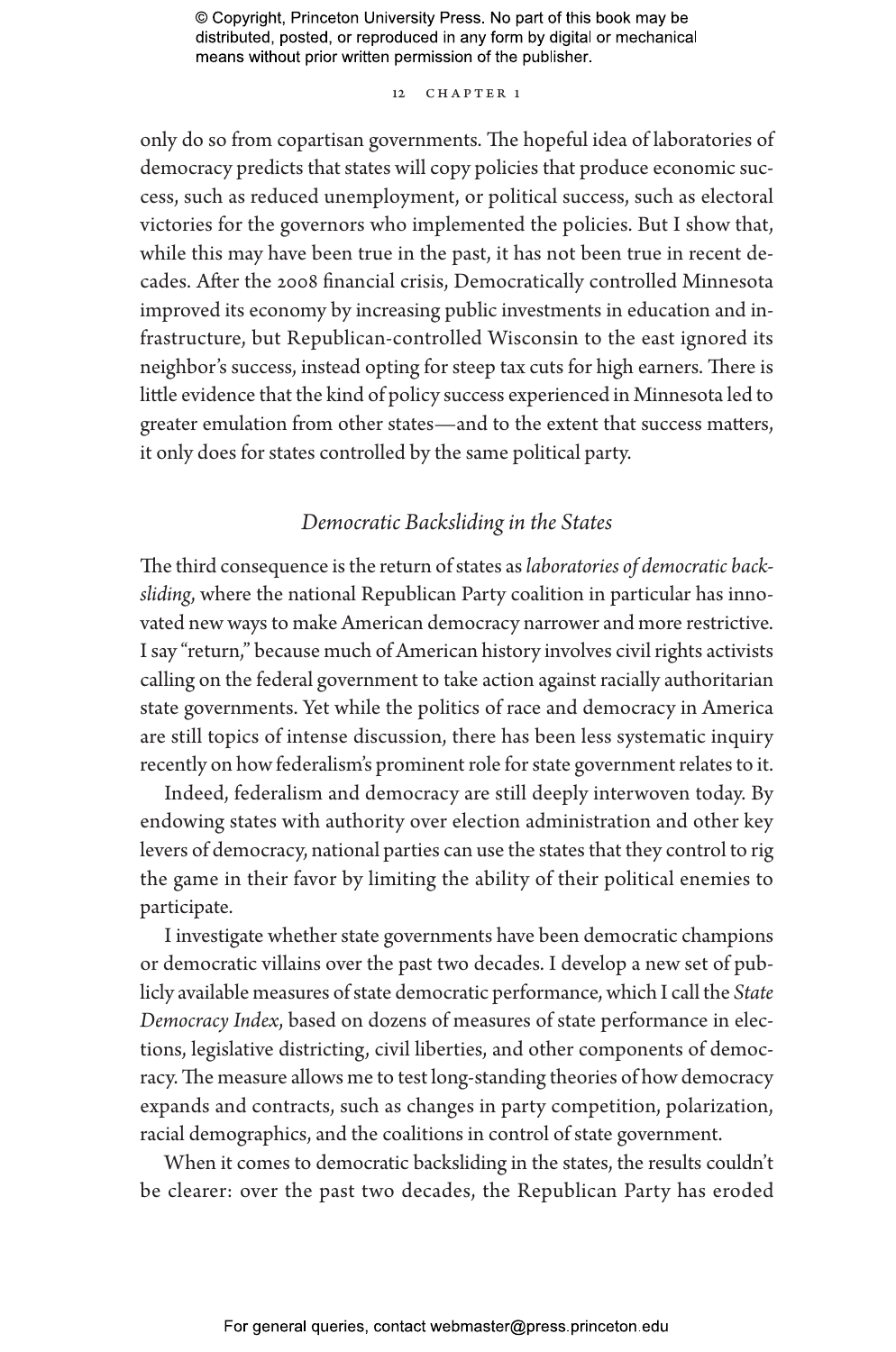12 CHAPTER 1

only do so from copartisan governments. The hopeful idea of laboratories of democracy predicts that states will copy policies that produce economic success, such as reduced unemployment, or political success, such as electoral victories for the governors who implemented the policies. But I show that, while this may have been true in the past, it has not been true in recent decades. After the 2008 financial crisis, Democratically controlled Minnesota improved its economy by increasing public investments in education and infrastructure, but Republican-controlled Wisconsin to the east ignored its neighbor's success, instead opting for steep tax cuts for high earners. There is little evidence that the kind of policy success experienced in Minnesota led to greater emulation from other states—and to the extent that success matters, it only does for states controlled by the same political party.

## *Democratic Backsliding in the States*

The third consequence is the return of states as *laboratories of democratic backsliding*, where the national Republican Party coalition in particular has innovated new ways to make American democracy narrower and more restrictive. I say "return," because much of American history involves civil rights activists calling on the federal government to take action against racially authoritarian state governments. Yet while the politics of race and democracy in America are still topics of intense discussion, there has been less systematic inquiry recently on how federalism's prominent role for state government relates to it.

Indeed, federalism and democracy are still deeply interwoven today. By endowing states with authority over election administration and other key levers of democracy, national parties can use the states that they control to rig the game in their favor by limiting the ability of their political enemies to participate.

I investigate whether state governments have been democratic champions or democratic villains over the past two decades. I develop a new set of publicly available measures of state democratic performance, which I call the *State Democracy Index*, based on dozens of measures of state performance in elections, legislative districting, civil liberties, and other components of democracy. The measure allows me to test long-standing theories of how democracy expands and contracts, such as changes in party competition, polarization, racial demographics, and the coalitions in control of state government.

When it comes to democratic backsliding in the states, the results couldn't be clearer: over the past two decades, the Republican Party has eroded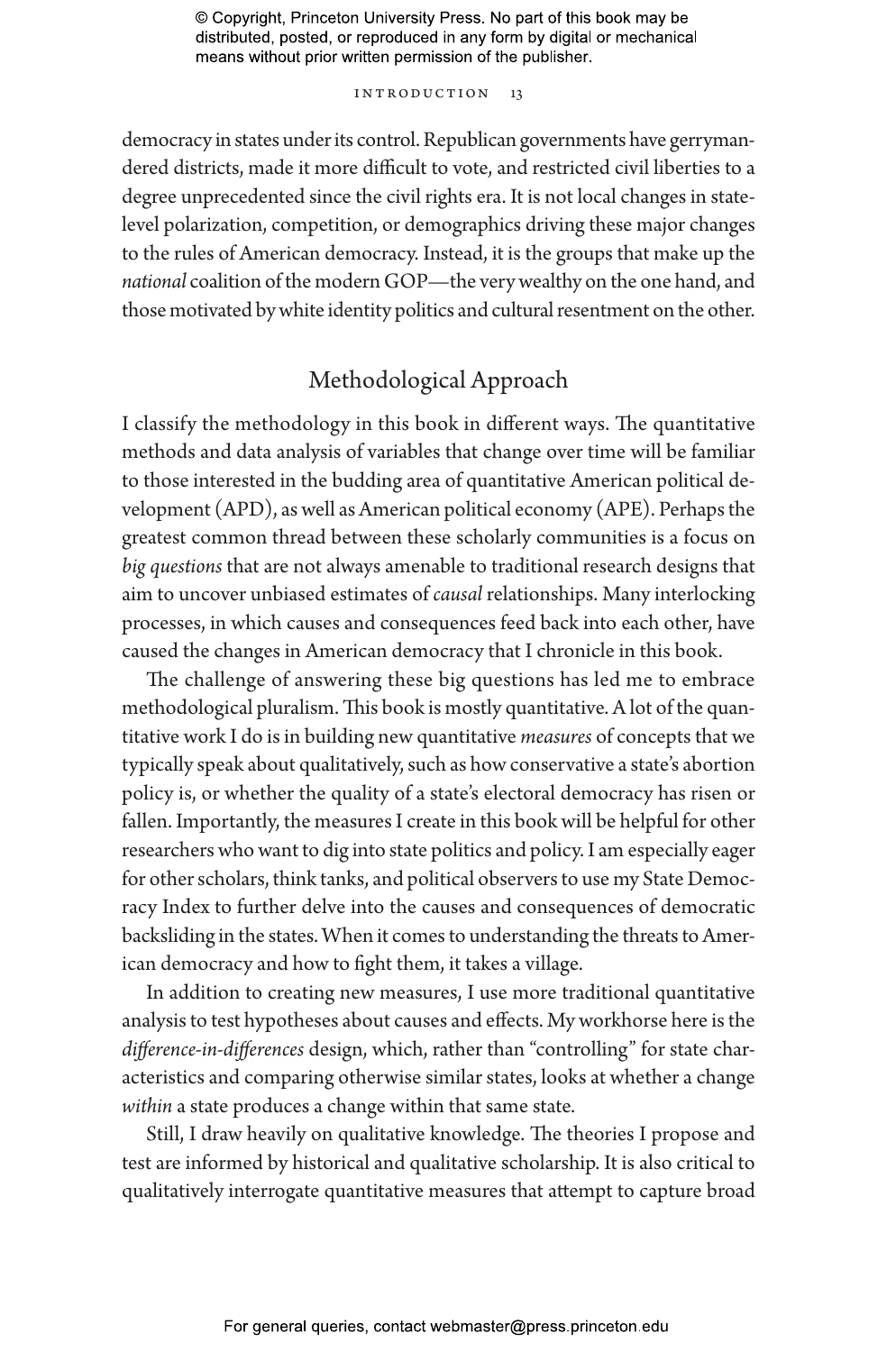#### INTRODUCTION 13

democracy in states under its control. Republican governments have gerrymandered districts, made it more difficult to vote, and restricted civil liberties to a degree unprecedented since the civil rights era. It is not local changes in statelevel polarization, competition, or demographics driving these major changes to the rules of American democracy. Instead, it is the groups that make up the *national* coalition of the modern GOP—the very wealthy on the one hand, and those motivated by white identity politics and cultural resentment on the other.

## Methodological Approach

I classify the methodology in this book in different ways. The quantitative methods and data analysis of variables that change over time will be familiar to those interested in the budding area of quantitative American political development (APD), as well as American political economy (APE). Perhaps the greatest common thread between these scholarly communities is a focus on *big questions* that are not always amenable to traditional research designs that aim to uncover unbiased estimates of *causal* relationships. Many interlocking processes, in which causes and consequences feed back into each other, have caused the changes in American democracy that I chronicle in this book.

The challenge of answering these big questions has led me to embrace methodological pluralism. This book is mostly quantitative. A lot of the quantitative work I do is in building new quantitative *measures* of concepts that we typically speak about qualitatively, such as how conservative a state's abortion policy is, or whether the quality of a state's electoral democracy has risen or fallen. Importantly, the measures I create in this book will be helpful for other researchers who want to dig into state politics and policy. I am especially eager for other scholars, think tanks, and political observers to use my State Democracy Index to further delve into the causes and consequences of democratic backsliding in the states. When it comes to understanding the threats to American democracy and how to fight them, it takes a village.

In addition to creating new measures, I use more traditional quantitative analysis to test hypotheses about causes and effects. My workhorse here is the *difference-in-differences* design, which, rather than "controlling" for state characteristics and comparing otherwise similar states, looks at whether a change *within* a state produces a change within that same state.

Still, I draw heavily on qualitative knowledge. The theories I propose and test are informed by historical and qualitative scholarship. It is also critical to qualitatively interrogate quantitative measures that attempt to capture broad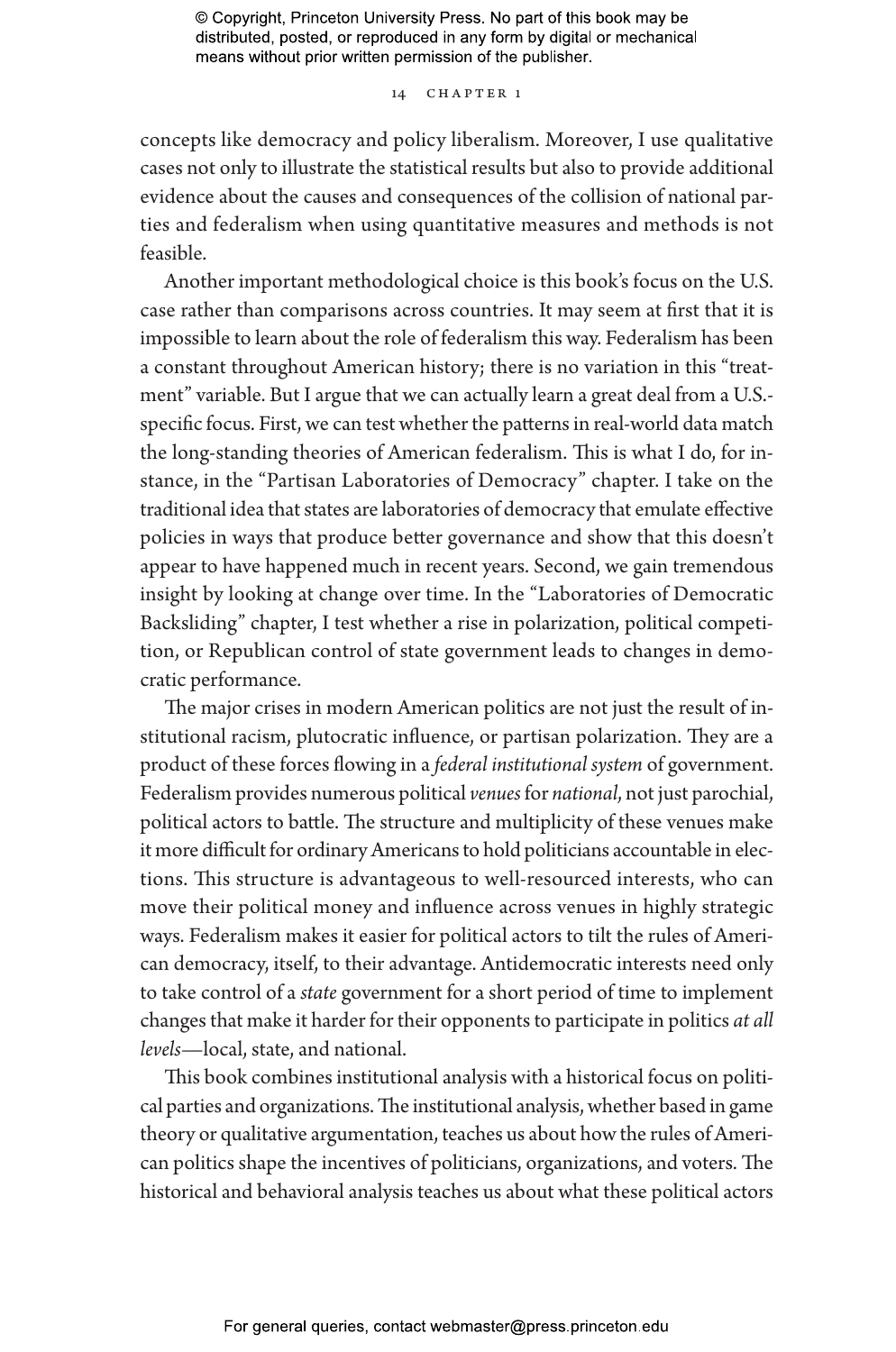14 CHAPTER 1

concepts like democracy and policy liberalism. Moreover, I use qualitative cases not only to illustrate the statistical results but also to provide additional evidence about the causes and consequences of the collision of national parties and federalism when using quantitative measures and methods is not feasible.

Another important methodological choice is this book's focus on the U.S. case rather than comparisons across countries. It may seem at first that it is impossible to learn about the role of federalism this way. Federalism has been a constant throughout American history; there is no variation in this "treatment" variable. But I argue that we can actually learn a great deal from a U.S. specific focus. First, we can test whether the patterns in real-world data match the long-standing theories of American federalism. This is what I do, for instance, in the "Partisan Laboratories of Democracy" chapter. I take on the traditional idea that states are laboratories of democracy that emulate effective policies in ways that produce better governance and show that this doesn't appear to have happened much in recent years. Second, we gain tremendous insight by looking at change over time. In the "Laboratories of Democratic Backsliding" chapter, I test whether a rise in polarization, political competition, or Republican control of state government leads to changes in democratic performance.

The major crises in modern American politics are not just the result of institutional racism, plutocratic influence, or partisan polarization. They are a product of these forces flowing in a *federal institutional system* of government. Federalism provides numerous political *venues* for *national*, not just parochial, political actors to battle. The structure and multiplicity of these venues make it more difficult for ordinary Americans to hold politicians accountable in elections. This structure is advantageous to well-resourced interests, who can move their political money and influence across venues in highly strategic ways. Federalism makes it easier for political actors to tilt the rules of American democracy, itself, to their advantage. Antidemocratic interests need only to take control of a *state* government for a short period of time to implement changes that make it harder for their opponents to participate in politics *at all levels*—local, state, and national.

This book combines institutional analysis with a historical focus on political parties and organizations. The institutional analysis, whether based in game theory or qualitative argumentation, teaches us about how the rules of American politics shape the incentives of politicians, organizations, and voters. The historical and behavioral analysis teaches us about what these political actors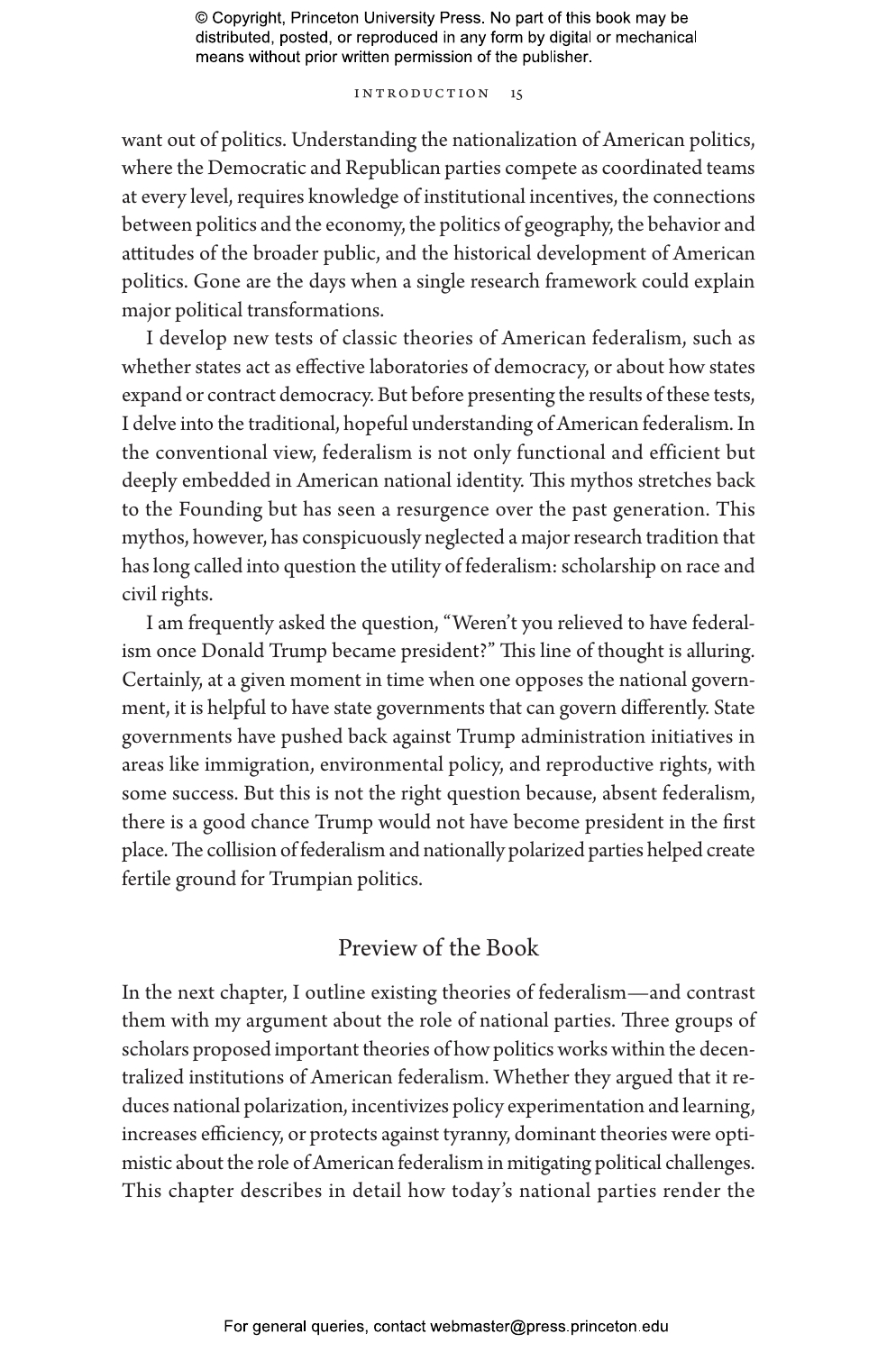#### Introduction 15

want out of politics. Understanding the nationalization of American politics, where the Democratic and Republican parties compete as coordinated teams at every level, requires knowledge of institutional incentives, the connections between politics and the economy, the politics of geography, the behavior and attitudes of the broader public, and the historical development of American politics. Gone are the days when a single research framework could explain major political transformations.

I develop new tests of classic theories of American federalism, such as whether states act as effective laboratories of democracy, or about how states expand or contract democracy. But before presenting the results of these tests, I delve into the traditional, hopeful understanding of American federalism. In the conventional view, federalism is not only functional and efficient but deeply embedded in American national identity. This mythos stretches back to the Founding but has seen a resurgence over the past generation. This mythos, however, has conspicuously neglected a major research tradition that has long called into question the utility of federalism: scholarship on race and civil rights.

I am frequently asked the question, "Weren't you relieved to have federalism once Donald Trump became president?" This line of thought is alluring. Certainly, at a given moment in time when one opposes the national government, it is helpful to have state governments that can govern differently. State governments have pushed back against Trump administration initiatives in areas like immigration, environmental policy, and reproductive rights, with some success. But this is not the right question because, absent federalism, there is a good chance Trump would not have become president in the first place. The collision of federalism and nationally polarized parties helped create fertile ground for Trumpian politics.

## Preview of the Book

In the next chapter, I outline existing theories of federalism—and contrast them with my argument about the role of national parties. Three groups of scholars proposed important theories of how politics works within the decentralized institutions of American federalism. Whether they argued that it reduces national polarization, incentivizes policy experimentation and learning, increases efficiency, or protects against tyranny, dominant theories were optimistic about the role of American federalism in mitigating political challenges. This chapter describes in detail how today's national parties render the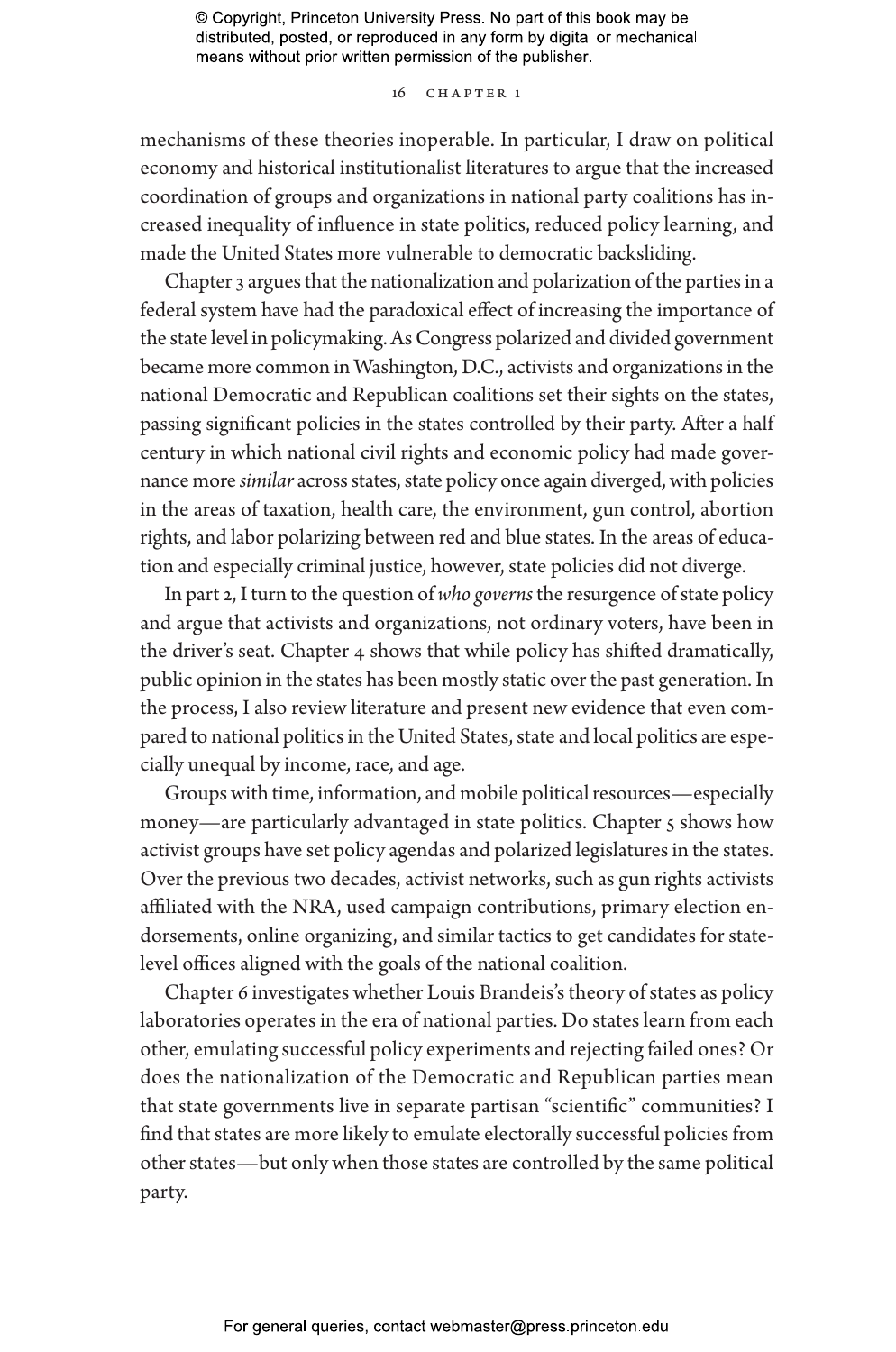#### 16 chapter 1

mechanisms of these theories inoperable. In particular, I draw on political economy and historical institutionalist literatures to argue that the increased coordination of groups and organizations in national party coalitions has increased inequality of influence in state politics, reduced policy learning, and made the United States more vulnerable to democratic backsliding.

Chapter 3 argues that the nationalization and polarization of the parties in a federal system have had the paradoxical effect of increasing the importance of the state level in policymaking. As Congress polarized and divided government became more common in Washington, D.C., activists and organizations in the national Democratic and Republican coalitions set their sights on the states, passing significant policies in the states controlled by their party. After a half century in which national civil rights and economic policy had made governance more *similar* across states, state policy once again diverged, with policies in the areas of taxation, health care, the environment, gun control, abortion rights, and labor polarizing between red and blue states. In the areas of education and especially criminal justice, however, state policies did not diverge.

In part 2, I turn to the question of *who governs* the resurgence of state policy and argue that activists and organizations, not ordinary voters, have been in the driver's seat. Chapter 4 shows that while policy has shifted dramatically, public opinion in the states has been mostly static over the past generation. In the process, I also review literature and present new evidence that even compared to national politics in the United States, state and local politics are especially unequal by income, race, and age.

Groups with time, information, and mobile political resources—especially money—are particularly advantaged in state politics. Chapter 5 shows how activist groups have set policy agendas and polarized legislatures in the states. Over the previous two decades, activist networks, such as gun rights activists affiliated with the NRA, used campaign contributions, primary election endorsements, online organizing, and similar tactics to get candidates for statelevel offices aligned with the goals of the national coalition.

Chapter 6 investigates whether Louis Brandeis's theory of states as policy laboratories operates in the era of national parties. Do states learn from each other, emulating successful policy experiments and rejecting failed ones? Or does the nationalization of the Democratic and Republican parties mean that state governments live in separate partisan "scientific" communities? I find that states are more likely to emulate electorally successful policies from other states—but only when those states are controlled by the same political party.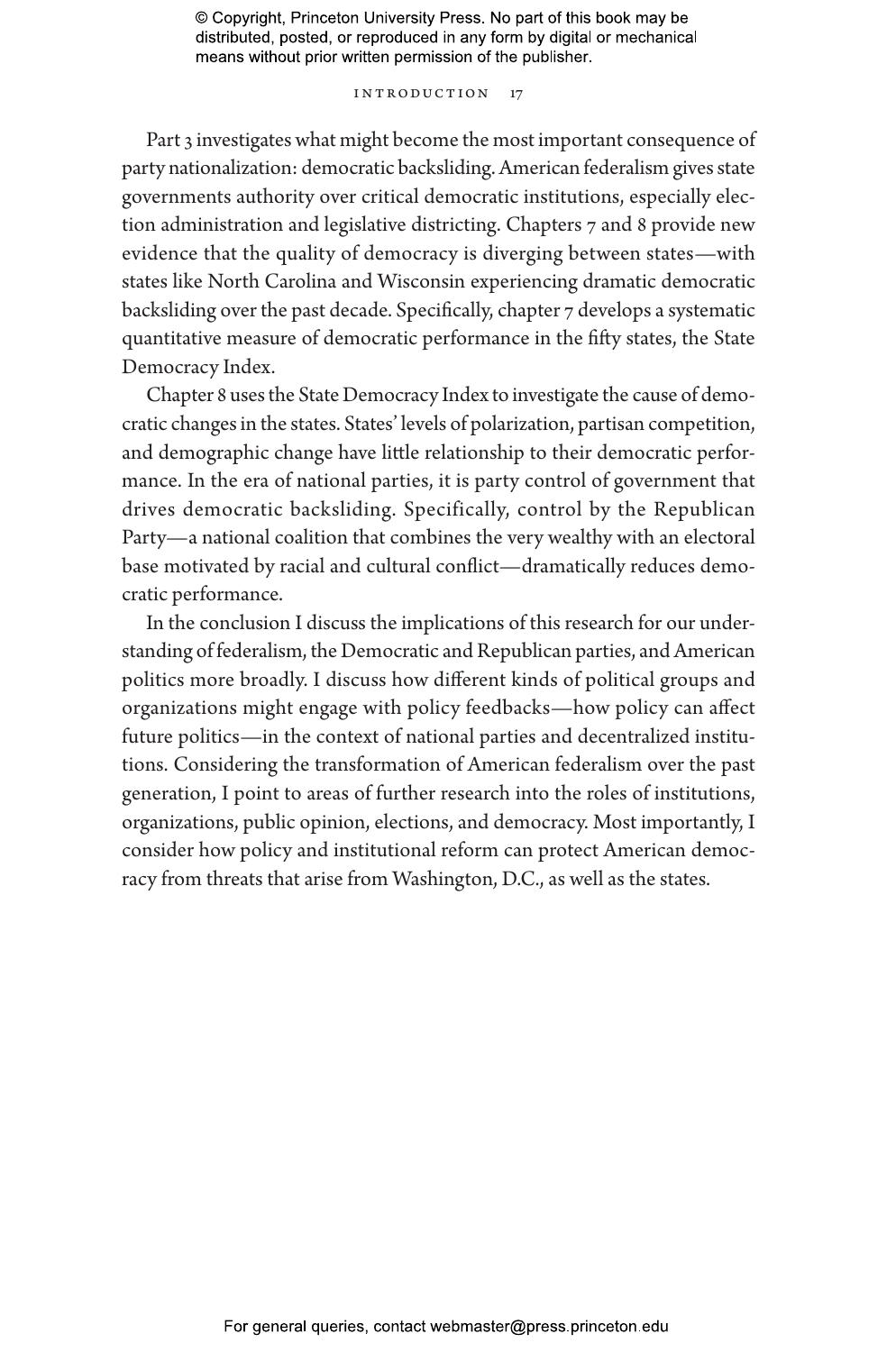## INTRODUCTION 17

Part 3 investigates what might become the most important consequence of party nationalization: democratic backsliding. American federalism gives state governments authority over critical democratic institutions, especially election administration and legislative districting. Chapters 7 and 8 provide new evidence that the quality of democracy is diverging between states—with states like North Carolina and Wisconsin experiencing dramatic democratic backsliding over the past decade. Specifically, chapter 7 develops a systematic quantitative measure of democratic performance in the fifty states, the State Democracy Index.

Chapter 8 uses the State Democracy Index to investigate the cause of democratic changes in the states. States' levels of polarization, partisan competition, and demographic change have little relationship to their democratic performance. In the era of national parties, it is party control of government that drives democratic backsliding. Specifically, control by the Republican Party—a national coalition that combines the very wealthy with an electoral base motivated by racial and cultural conflict—dramatically reduces democratic performance.

In the conclusion I discuss the implications of this research for our understanding of federalism, the Democratic and Republican parties, and American politics more broadly. I discuss how different kinds of political groups and organizations might engage with policy feedbacks—how policy can affect future politics—in the context of national parties and decentralized institutions. Considering the transformation of American federalism over the past generation, I point to areas of further research into the roles of institutions, organizations, public opinion, elections, and democracy. Most importantly, I consider how policy and institutional reform can protect American democracy from threats that arise from Washington, D.C., as well as the states.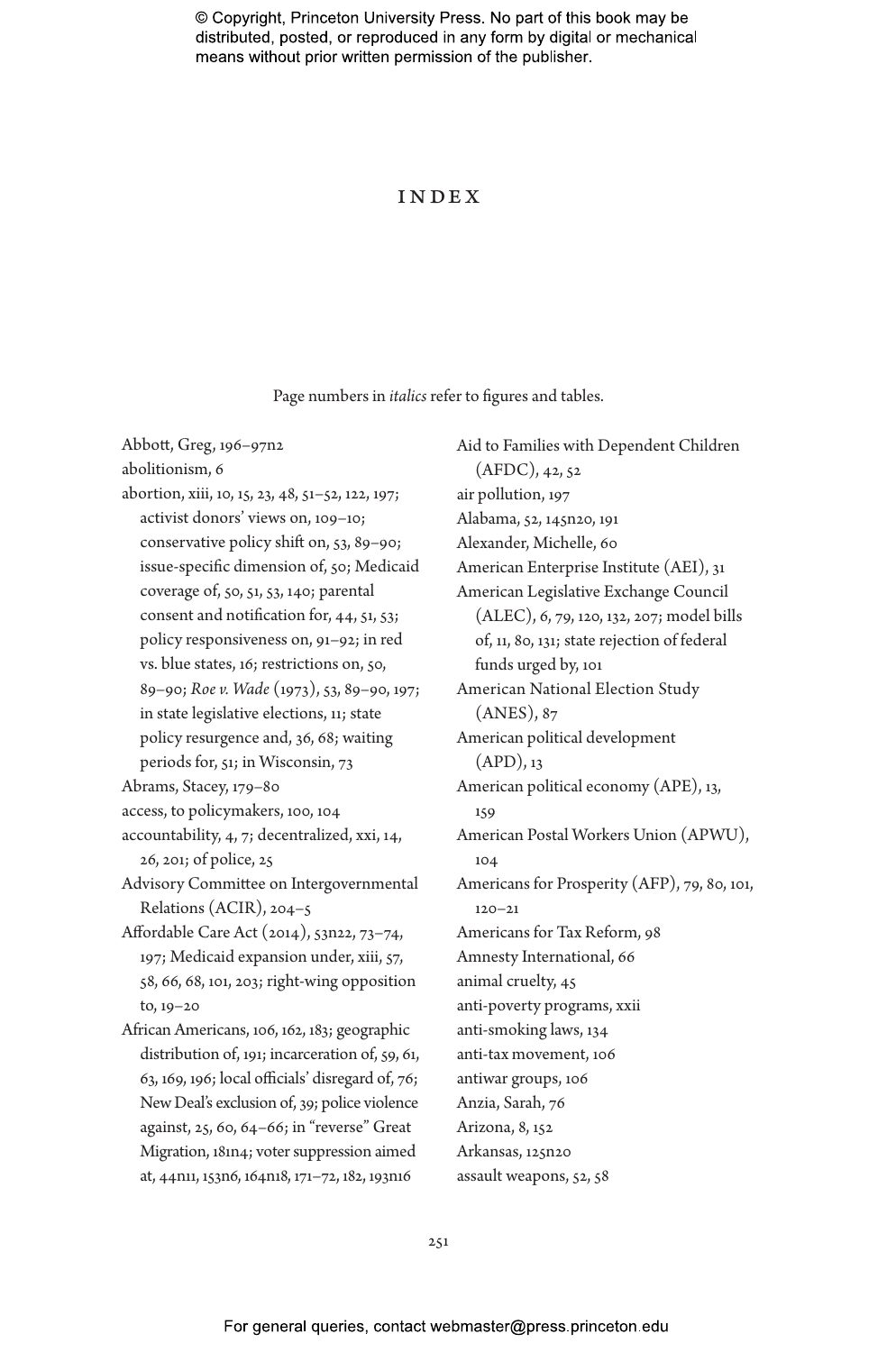## Index

Page numbers in *italics* refer to figures and tables.

Abbott, Greg, 196–97n2

abolitionism, 6 abortion, xiii, 10, 15, 23, 48, 51–52, 122, 197; activist donors' views on, 109–10; conservative policy shift on, 53, 89–90; issue-specific dimension of, 50; Medicaid coverage of, 50, 51, 53, 140; parental consent and notification for, 44, 51, 53; policy responsiveness on, 91–92; in red vs. blue states, 16; restrictions on, 50, 89–90; *Roe v. Wade* (1973), 53, 89–90, 197; in state legislative elections, 11; state policy resurgence and, 36, 68; waiting periods for, 51; in Wisconsin, 73 Abrams, Stacey, 179–80 access, to policymakers, 100, 104 accountability, 4, 7; decentralized, xxi, 14, 26, 201; of police, 25

Advisory Committee on Intergovernmental Relations (ACIR), 204–5

Affordable Care Act (2014), 53n22, 73–74, 197; Medicaid expansion under, xiii, 57, 58, 66, 68, 101, 203; right-wing opposition to, 19–20

African Americans, 106, 162, 183; geographic distribution of, 191; incarceration of, 59, 61, 63, 169, 196; local officials' disregard of, 76; New Deal's exclusion of, 39; police violence against, 25, 60, 64–66; in "reverse" Great Migration, 181n4; voter suppression aimed at, 44n11, 153n6, 164n18, 171–72, 182, 193n16

Aid to Families with Dependent Children (AFDC), 42, 52 air pollution, 197 Alabama, 52, 145n20, 191 Alexander, Michelle, 60 American Enterprise Institute (AEI), 31 American Legislative Exchange Council (ALEC), 6, 79, 120, 132, 207; model bills of, 11, 80, 131; state rejection of federal funds urged by, 101 American National Election Study (ANES), 87 American political development (APD), 13 American political economy (APE), 13, 159 American Postal Workers Union (APWU), 104 Americans for Prosperity (AFP), 79, 80, 101, 120–21 Americans for Tax Reform, 98 Amnesty International, 66 animal cruelty, 45 anti-poverty programs, xxii anti-smoking laws, 134 anti-tax movement, 106 antiwar groups, 106 Anzia, Sarah, 76 Arizona, 8, 152 Arkansas, 125n20 assault weapons, 52, 58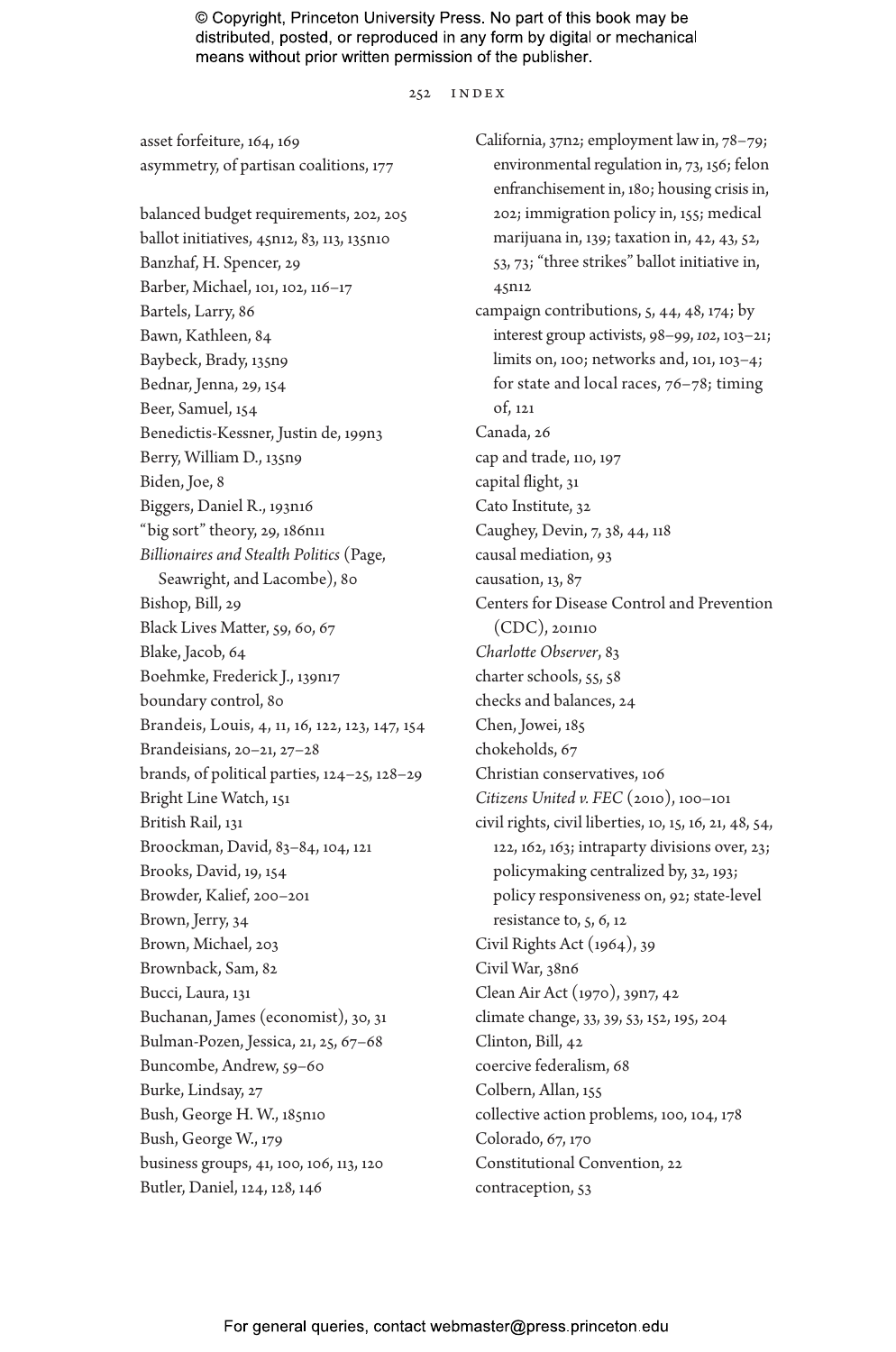#### 252 index

asset forfeiture, 164, 169 asymmetry, of partisan coalitions, 177

balanced budget requirements, 202, 205 ballot initiatives, 45n12, 83, 113, 135n10 Banzhaf, H. Spencer, 29 Barber, Michael, 101, 102, 116–17 Bartels, Larry, 86 Bawn, Kathleen, 84 Baybeck, Brady, 135n9 Bednar, Jenna, 29, 154 Beer, Samuel, 154 Benedictis-Kessner, Justin de, 199n3 Berry, William D., 135n9 Biden, Joe, 8 Biggers, Daniel R., 193n16 "big sort" theory, 29, 186n11 *Billionaires and Stealth Politics* (Page, Seawright, and Lacombe), 80 Bishop, Bill, 29 Black Lives Matter, 59, 60, 67 Blake, Jacob, 64 Boehmke, Frederick J., 139n17 boundary control, 80 Brandeis, Louis, 4, 11, 16, 122, 123, 147, 154 Brandeisians, 20–21, 27–28 brands, of political parties, 124–25, 128–29 Bright Line Watch, 151 British Rail, 131 Broockman, David, 83–84, 104, 121 Brooks, David, 19, 154 Browder, Kalief, 200–201 Brown, Jerry, 34 Brown, Michael, 203 Brownback, Sam, 82 Bucci, Laura, 131 Buchanan, James (economist), 30, 31 Bulman-Pozen, Jessica, 21, 25, 67–68 Buncombe, Andrew, 59–60 Burke, Lindsay, 27 Bush, George H. W., 185n10 Bush, George W., 179 business groups, 41, 100, 106, 113, 120 Butler, Daniel, 124, 128, 146

California, 37n2; employment law in, 78–79; environmental regulation in, 73, 156; felon enfranchisement in, 180; housing crisis in, 202; immigration policy in, 155; medical marijuana in, 139; taxation in, 42, 43, 52, 53, 73; "three strikes" ballot initiative in, 45n12 campaign contributions, 5, 44, 48, 174; by interest group activists, 98–99, *102*, 103–21; limits on, 100; networks and, 101, 103–4; for state and local races, 76–78; timing of, 121 Canada, 26 cap and trade, 110, 197 capital flight, 31 Cato Institute, 32 Caughey, Devin, 7, 38, 44, 118 causal mediation, 93 causation, 13, 87 Centers for Disease Control and Prevention (CDC), 201n10 *Charlotte Observer*, 83 charter schools, 55, 58 checks and balances, 24 Chen, Jowei, 185 chokeholds, 67 Christian conservatives, 106 *Citizens United v. FEC* (2010), 100–101 civil rights, civil liberties, 10, 15, 16, 21, 48, 54, 122, 162, 163; intraparty divisions over, 23; policymaking centralized by, 32, 193; policy responsiveness on, 92; state-level resistance to, 5, 6, 12 Civil Rights Act (1964), 39 Civil War, 38n6 Clean Air Act (1970), 39n7, 42 climate change, 33, 39, 53, 152, 195, 204 Clinton, Bill, 42 coercive federalism, 68 Colbern, Allan, 155 collective action problems, 100, 104, 178 Colorado, 67, 170 Constitutional Convention, 22 contraception, 53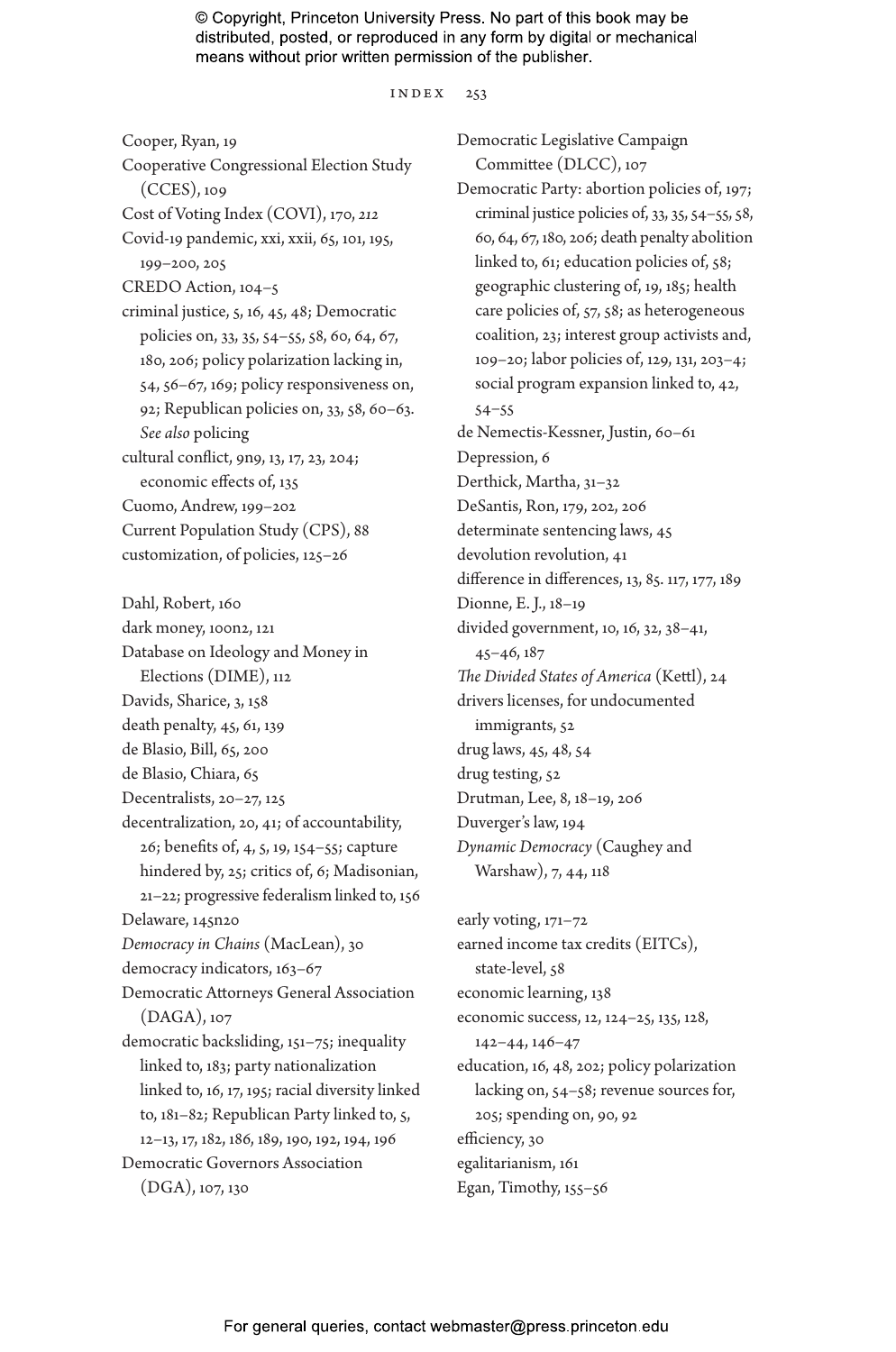$INDEX$  253

Cooper, Ryan, 19 Cooperative Congressional Election Study (CCES), 109 Cost of Voting Index (COVI), 170, *212* Covid-19 pandemic, xxi, xxii, 65, 101, 195, 199–200, 205 CREDO Action, 104–5 criminal justice, 5, 16, 45, 48; Democratic policies on, 33, 35, 54–55, 58, 60, 64, 67, 180, 206; policy polarization lacking in, 54, 56–67, 169; policy responsiveness on, 92; Republican policies on, 33, 58, 60–63. *See also* policing cultural conflict, 9n9, 13, 17, 23, 204; economic effects of, 135 Cuomo, Andrew, 199–202 Current Population Study (CPS), 88 customization, of policies, 125–26 Dahl, Robert, 160 dark money, 100n2, 121 Database on Ideology and Money in Elections (DIME), 112 Davids, Sharice, 3, 158 death penalty, 45, 61, 139 de Blasio, Bill, 65, 200 de Blasio, Chiara, 65 Decentralists, 20–27, 125 decentralization, 20, 41; of accountability, 26; benefits of, 4, 5, 19, 154–55; capture hindered by, 25; critics of, 6; Madisonian, 21–22; progressive federalism linked to, 156 Delaware, 145n20 *Democracy in Chains* (MacLean), 30 democracy indicators, 163–67 Democratic Attorneys General Association (DAGA), 107 democratic backsliding, 151–75; inequality linked to, 183; party nationalization linked to, 16, 17, 195; racial diversity linked to, 181–82; Republican Party linked to, 5, 12–13, 17, 182, 186, 189, 190, 192, 194, 196 Democratic Governors Association (DGA), 107, 130

Democratic Legislative Campaign Committee (DLCC), 107 Democratic Party: abortion policies of, 197; criminal justice policies of, 33, 35, 54–55, 58, 60, 64, 67, 180, 206; death penalty abolition linked to, 61; education policies of, 58; geographic clustering of, 19, 185; health care policies of, 57, 58; as heterogeneous coalition, 23; interest group activists and, 109–20; labor policies of, 129, 131, 203–4; social program expansion linked to, 42, 54–55 de Nemectis-Kessner, Justin, 60–61 Depression, 6 Derthick, Martha, 31–32 DeSantis, Ron, 179, 202, 206 determinate sentencing laws, 45 devolution revolution, 41 difference in differences, 13, 85. 117, 177, 189 Dionne, E. J., 18–19 divided government, 10, 16, 32, 38–41, 45–46, 187 *The Divided States of America* (Kettl), 24 drivers licenses, for undocumented immigrants, 52 drug laws, 45, 48, 54 drug testing, 52 Drutman, Lee, 8, 18–19, 206 Duverger's law, 194 *Dynamic Democracy* (Caughey and Warshaw), 7, 44, 118 early voting, 171–72 earned income tax credits (EITCs), state-level, 58 economic learning, 138 economic success, 12, 124–25, 135, 128, 142–44, 146–47 education, 16, 48, 202; policy polarization lacking on, 54–58; revenue sources for, 205; spending on, 90, 92 efficiency, 30 egalitarianism, 161

Egan, Timothy, 155–56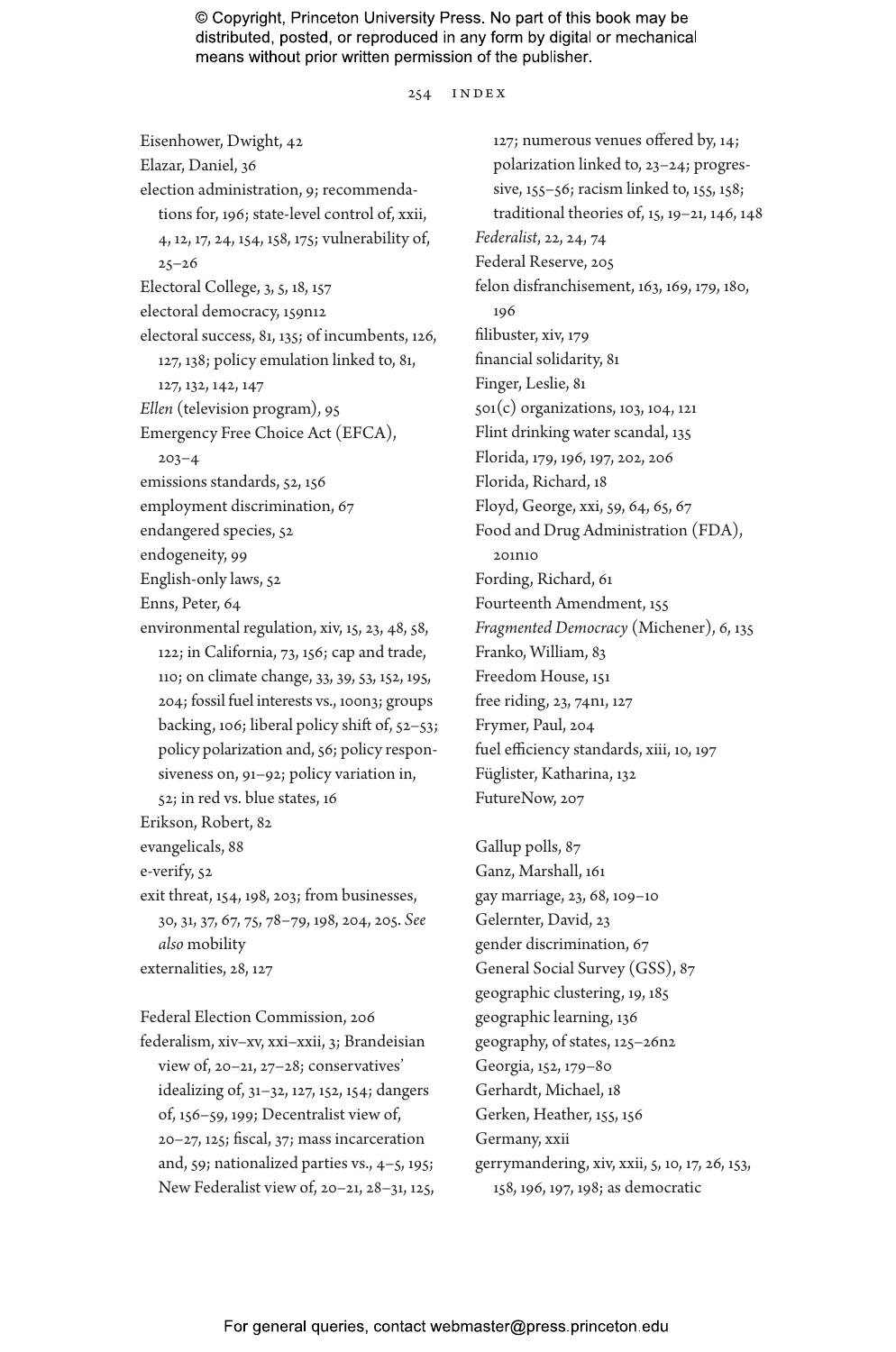254 index

Eisenhower, Dwight, 42 Elazar, Daniel, 36 election administration, 9; recommendations for, 196; state-level control of, xxii, 4, 12, 17, 24, 154, 158, 175; vulnerability of,  $25 - 26$ Electoral College, 3, 5, 18, 157 electoral democracy, 159n12 electoral success, 81, 135; of incumbents, 126, 127, 138; policy emulation linked to, 81, 127, 132, 142, 147 *Ellen* (television program), 95 Emergency Free Choice Act (EFCA), 203–4 emissions standards, 52, 156 employment discrimination, 67 endangered species, 52 endogeneity, 99 English-only laws, 52 Enns, Peter, 64 environmental regulation, xiv, 15, 23, 48, 58, 122; in California, 73, 156; cap and trade, 110; on climate change, 33, 39, 53, 152, 195, 204; fossil fuel interests vs., 100n3; groups backing, 106; liberal policy shift of, 52–53; policy polarization and, 56; policy responsiveness on, 91–92; policy variation in, 52; in red vs. blue states, 16 Erikson, Robert, 82 evangelicals, 88 e-verify, 52 exit threat, 154, 198, 203; from businesses, 30, 31, 37, 67, 75, 78–79, 198, 204, 205. *See also* mobility externalities, 28, 127 Federal Election Commission, 206 federalism, xiv–xv, xxi–xxii, 3; Brandeisian view of, 20–21, 27–28; conservatives' idealizing of, 31–32, 127, 152, 154; dangers of, 156–59, 199; Decentralist view of,

20–27, 125; fiscal, 37; mass incarceration and, 59; nationalized parties vs., 4–5, 195; New Federalist view of, 20–21, 28–31, 125,

financial solidarity, 81 Finger, Leslie, 81 501(c) organizations, 103, 104, 121 Flint drinking water scandal, 135 Florida, 179, 196, 197, 202, 206 Florida, Richard, 18 Floyd, George, xxi, 59, 64, 65, 67 Food and Drug Administration (FDA), 201n10 Fording, Richard, 61 Fourteenth Amendment, 155 *Fragmented Democracy* (Michener), 6, 135 Franko, William, 83 Freedom House, 151 free riding, 23, 74n1, 127 Frymer, Paul, 204 fuel efficiency standards, xiii, 10, 197 Füglister, Katharina, 132 FutureNow, 207 Gallup polls, 87

127; numerous venues offered by, 14; polarization linked to, 23–24; progressive, 155–56; racism linked to, 155, 158; traditional theories of, 15, 19–21, 146, 148

felon disfranchisement, 163, 169, 179, 180,

*Federalist*, 22, 24, 74 Federal Reserve, 205

196 filibuster, xiv, 179

Ganz, Marshall, 161 gay marriage, 23, 68, 109–10 Gelernter, David, 23 gender discrimination, 67 General Social Survey (GSS), 87 geographic clustering, 19, 185 geographic learning, 136 geography, of states, 125–26n2 Georgia, 152, 179–80 Gerhardt, Michael, 18 Gerken, Heather, 155, 156 Germany, xxii gerrymandering, xiv, xxii, 5, 10, 17, 26, 153, 158, 196, 197, 198; as democratic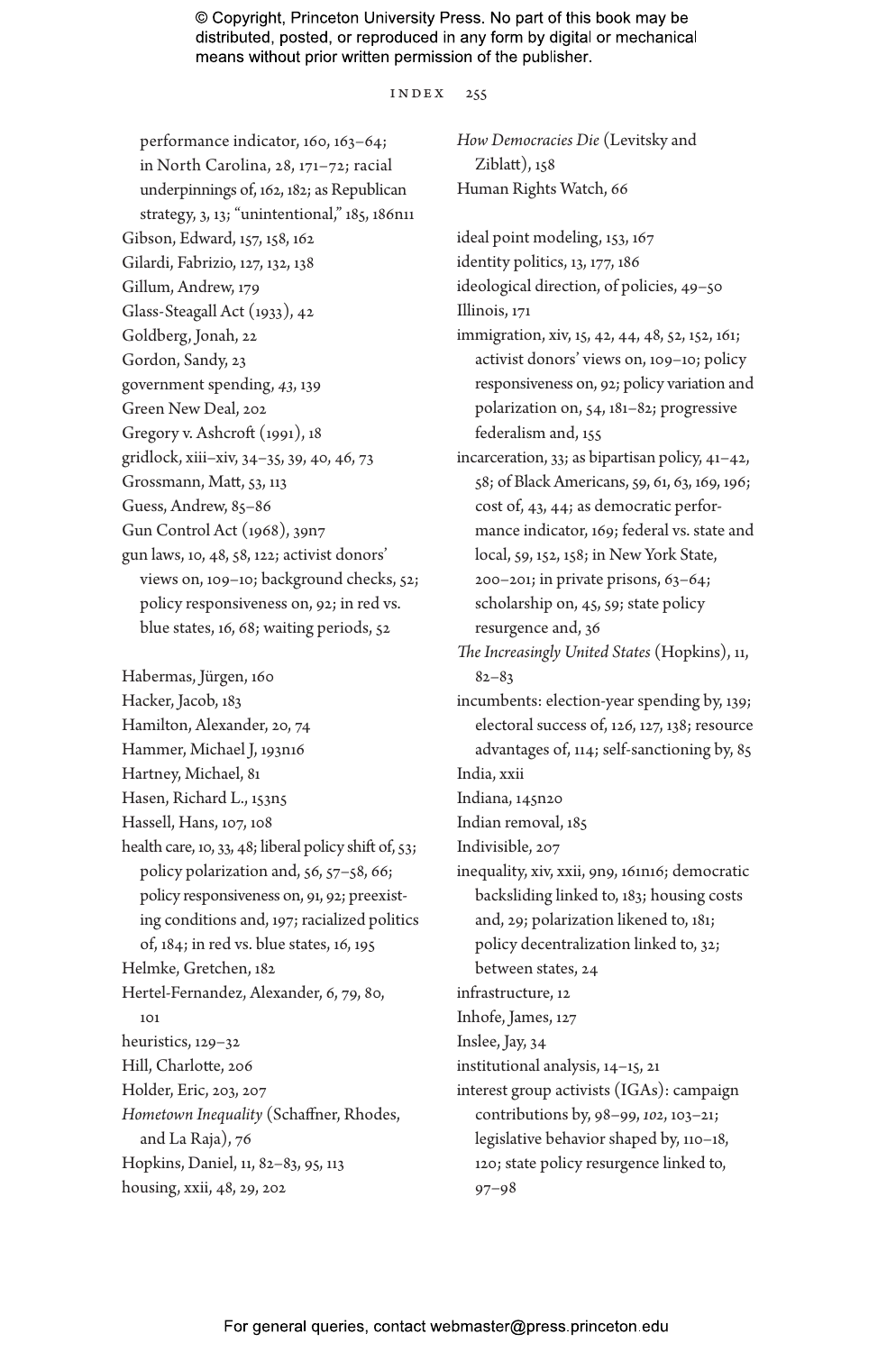#### index 255

performance indicator, 160, 163–64; in North Carolina, 28, 171–72; racial underpinnings of, 162, 182; as Republican strategy, 3, 13; "unintentional," 185, 186n11 Gibson, Edward, 157, 158, 162 Gilardi, Fabrizio, 127, 132, 138 Gillum, Andrew, 179 Glass-Steagall Act (1933), 42 Goldberg, Jonah, 22 Gordon, Sandy, 23 government spending, *43*, 139 Green New Deal, 202 Gregory v. Ashcroft (1991), 18 gridlock, xiii–xiv, 34–35, 39, 40, 46, 73 Grossmann, Matt, 53, 113 Guess, Andrew, 85–86 Gun Control Act (1968), 39n7 gun laws, 10, 48, 58, 122; activist donors' views on, 109–10; background checks, 52; policy responsiveness on, 92; in red vs. blue states, 16, 68; waiting periods, 52 Habermas, Jürgen, 160

Hacker, Jacob, 183 Hamilton, Alexander, 20, 74 Hammer, Michael J, 193n16 Hartney, Michael, 81 Hasen, Richard L., 153n5 Hassell, Hans, 107, 108 health care, 10, 33, 48; liberal policy shift of, 53; policy polarization and, 56, 57–58, 66; policy responsiveness on, 91, 92; preexisting conditions and, 197; racialized politics of, 184; in red vs. blue states, 16, 195 Helmke, Gretchen, 182 Hertel-Fernandez, Alexander, 6, 79, 80, 101 heuristics, 129–32 Hill, Charlotte, 206 Holder, Eric, 203, 207 *Hometown Inequality* (Schaffner, Rhodes, and La Raja), 76 Hopkins, Daniel, 11, 82–83, 95, 113 housing, xxii, 48, 29, 202

*How Democracies Die* (Levitsky and Ziblatt), 158 Human Rights Watch, 66 ideal point modeling, 153, 167

identity politics, 13, 177, 186 ideological direction, of policies, 49–50 Illinois, 171 immigration, xiv, 15, 42, 44, 48, 52, 152, 161; activist donors' views on, 109–10; policy responsiveness on, 92; policy variation and polarization on, 54, 181–82; progressive federalism and, 155 incarceration, 33; as bipartisan policy, 41–42,

58; of Black Americans, 59, 61, 63, 169, 196; cost of, 43, 44; as democratic performance indicator, 169; federal vs. state and local, 59, 152, 158; in New York State, 200–201; in private prisons, 63–64; scholarship on, 45, 59; state policy resurgence and, 36

*The Increasingly United States* (Hopkins), 11, 82–83

incumbents: election-year spending by, 139; electoral success of, 126, 127, 138; resource advantages of, 114; self-sanctioning by, 85 India, xxii

Indiana, 145n20

Indian removal, 185

Indivisible, 207

inequality, xiv, xxii, 9n9, 161n16; democratic backsliding linked to, 183; housing costs and, 29; polarization likened to, 181; policy decentralization linked to, 32; between states, 24

infrastructure, 12

Inhofe, James, 127

Inslee, Jay, 34

institutional analysis, 14–15, 21

interest group activists (IGAs): campaign contributions by, 98–99, *102*, 103–21; legislative behavior shaped by, 110–18, 120; state policy resurgence linked to, 97–98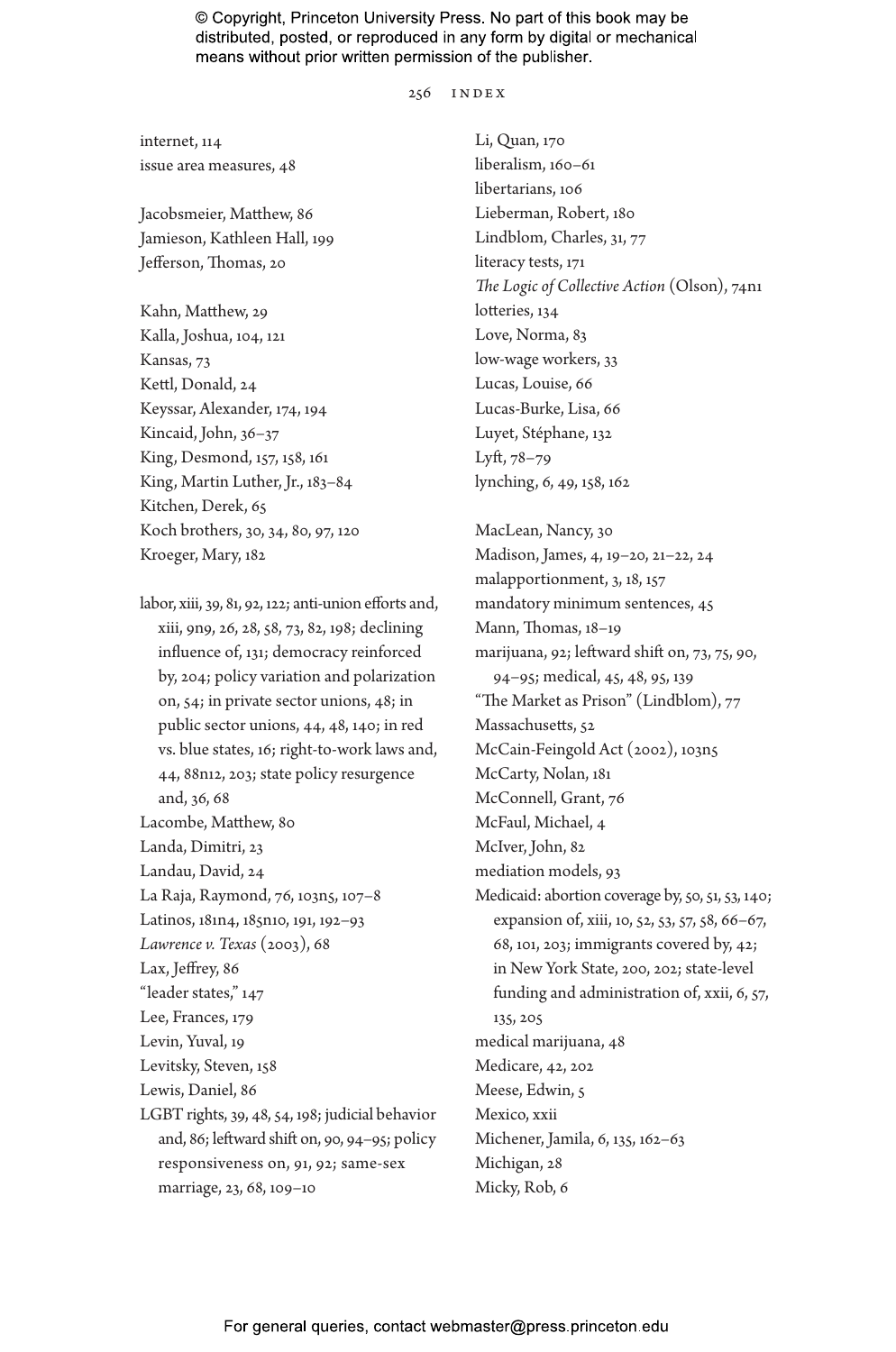256 index

internet, 114 issue area measures, 48

Jacobsmeier, Matthew, 86 Jamieson, Kathleen Hall, 199 Jefferson, Thomas, 20

Kahn, Matthew, 29 Kalla, Joshua, 104, 121 Kansas, 73 Kettl, Donald, 24 Keyssar, Alexander, 174, 194 Kincaid, John, 36–37 King, Desmond, 157, 158, 161 King, Martin Luther, Jr., 183–84 Kitchen, Derek, 65 Koch brothers, 30, 34, 80, 97, 120 Kroeger, Mary, 182

labor, xiii, 39, 81, 92, 122; anti-union efforts and, xiii, 9n9, 26, 28, 58, 73, 82, 198; declining influence of, 131; democracy reinforced by, 204; policy variation and polarization on, 54; in private sector unions, 48; in public sector unions, 44, 48, 140; in red vs. blue states, 16; right-to-work laws and, 44, 88n12, 203; state policy resurgence and, 36, 68 Lacombe, Matthew, 80 Landa, Dimitri, 23 Landau, David, 24 La Raja, Raymond, 76, 103n5, 107–8 Latinos, 181n4, 185n10, 191, 192–93 *Lawrence v. Texas* (2003), 68 Lax, Jeffrey, 86 "leader states," 147 Lee, Frances, 179 Levin, Yuval, 19 Levitsky, Steven, 158 Lewis, Daniel, 86 LGBT rights, 39, 48, 54, 198; judicial behavior and, 86; leftward shift on, 90, 94–95; policy responsiveness on, 91, 92; same-sex

marriage, 23, 68, 109–10

Li, Quan, 170 liberalism, 160–61 libertarians, 106 Lieberman, Robert, 180 Lindblom, Charles, 31, 77 literacy tests, 171 *The Logic of Collective Action* (Olson), 74n1 lotteries, 134 Love, Norma, 83 low-wage workers, 33 Lucas, Louise, 66 Lucas-Burke, Lisa, 66 Luyet, Stéphane, 132 Lyft, 78–79 lynching, 6, 49, 158, 162

MacLean, Nancy, 30 Madison, James, 4, 19–20, 21–22, 24 malapportionment, 3, 18, 157 mandatory minimum sentences, 45 Mann, Thomas, 18–19 marijuana, 92; leftward shift on, 73, 75, 90, 94–95; medical, 45, 48, 95, 139 "The Market as Prison" (Lindblom), 77 Massachusetts, 52 McCain-Feingold Act (2002), 103n5 McCarty, Nolan, 181 McConnell, Grant, 76 McFaul, Michael, 4 McIver, John, 82 mediation models, 93 Medicaid: abortion coverage by, 50, 51, 53, 140; expansion of, xiii, 10, 52, 53, 57, 58, 66–67, 68, 101, 203; immigrants covered by, 42; in New York State, 200, 202; state-level funding and administration of, xxii, 6, 57, 135, 205 medical marijuana, 48 Medicare, 42, 202 Meese, Edwin, 5 Mexico, xxii Michener, Jamila, 6, 135, 162–63 Michigan, 28 Micky, Rob, 6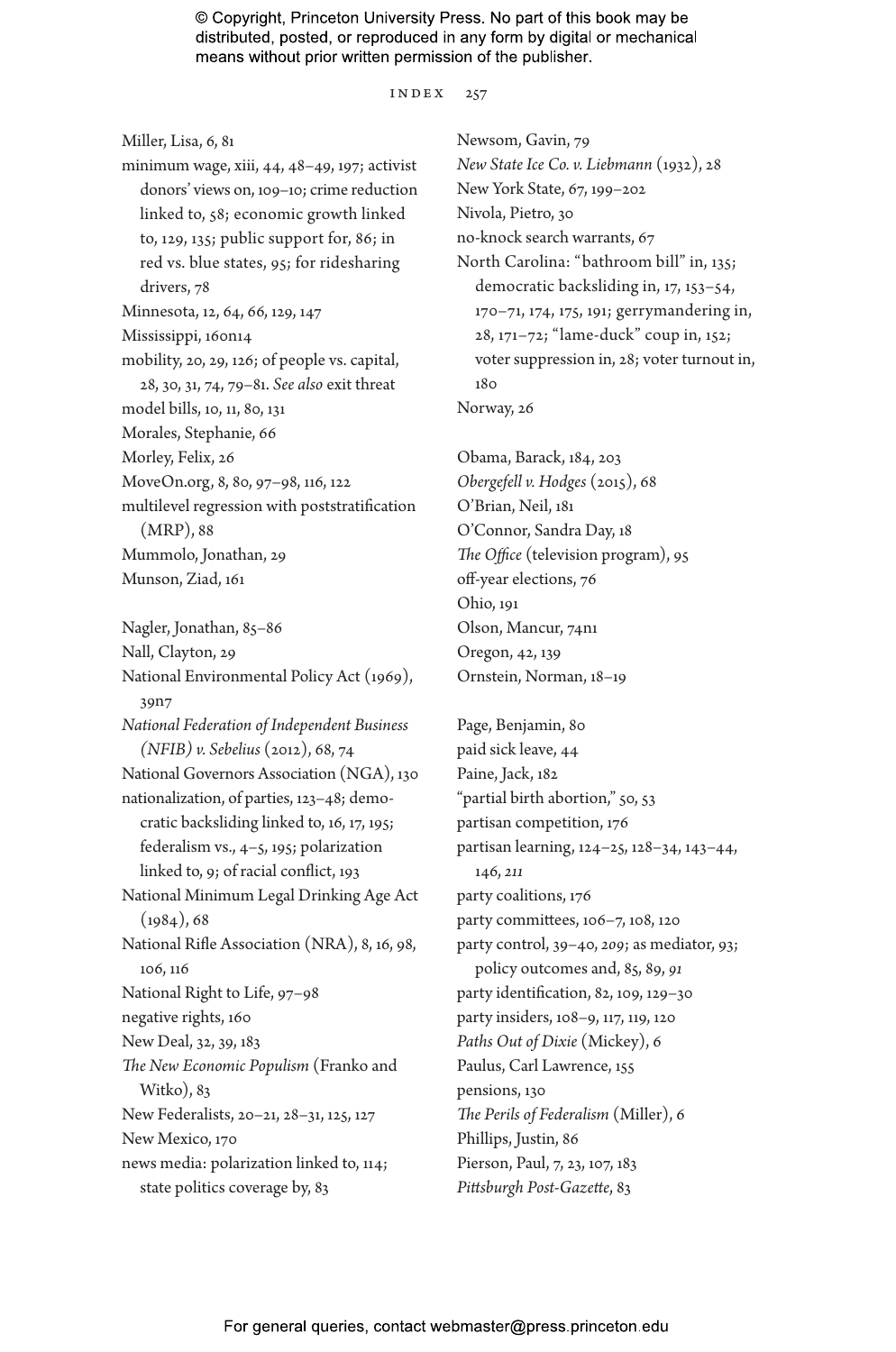index 257

Miller, Lisa, 6, 81

- minimum wage, xiii, 44, 48–49, 197; activist donors' views on, 109–10; crime reduction linked to, 58; economic growth linked to, 129, 135; public support for, 86; in red vs. blue states, 95; for ridesharing drivers, 78
- Minnesota, 12, 64, 66, 129, 147
- Mississippi, 160n14

mobility, 20, 29, 126; of people vs. capital, 28, 30, 31, 74, 79–81. *See also* exit threat model bills, 10, 11, 80, 131 Morales, Stephanie, 66

Morley, Felix, 26

MoveOn.org, 8, 80, 97–98, 116, 122

multilevel regression with poststratification (MRP), 88 Mummolo, Jonathan, 29

Munson, Ziad, 161

Nagler, Jonathan, 85–86 Nall, Clayton, 29 National Environmental Policy Act (1969), 39n7 *National Federation of Independent Business (NFIB) v. Sebelius* (2012), 68, 74 National Governors Association (NGA), 130 nationalization, of parties, 123–48; democratic backsliding linked to, 16, 17, 195; federalism vs., 4–5, 195; polarization linked to, 9; of racial conflict, 193 National Minimum Legal Drinking Age Act  $(1984)$ , 68 National Rifle Association (NRA), 8, 16, 98, 106, 116 National Right to Life, 97–98 negative rights, 160 New Deal, 32, 39, 183 *The New Economic Populism* (Franko and Witko), 83 New Federalists, 20–21, 28–31, 125, 127 New Mexico, 170 news media: polarization linked to, 114; state politics coverage by, 83

Newsom, Gavin, 79 *New State Ice Co. v. Liebmann* (1932), 28 New York State, 67, 199–202 Nivola, Pietro, 30 no-knock search warrants, 67 North Carolina: "bathroom bill" in, 135; democratic backsliding in, 17, 153–54, 170–71, 174, 175, 191; gerrymandering in, 28, 171–72; "lame-duck" coup in, 152; voter suppression in, 28; voter turnout in, 180 Norway, 26

Obama, Barack, 184, 203 *Obergefell v. Hodges* (2015), 68 O'Brian, Neil, 181 O'Connor, Sandra Day, 18 *The Office* (television program), 95 off-year elections, 76 Ohio, 191 Olson, Mancur, 74n1 Oregon, 42, 139 Ornstein, Norman, 18–19

Page, Benjamin, 80 paid sick leave, 44 Paine, Jack, 182 "partial birth abortion," 50, 53 partisan competition, 176 partisan learning, 124–25, 128–34, 143–44, 146, *211* party coalitions, 176 party committees, 106–7, 108, 120 party control, 39–40, *209*; as mediator, 93; policy outcomes and, 85, 89, *91* party identification, 82, 109, 129–30 party insiders, 108–9, 117, 119, 120 *Paths Out of Dixie* (Mickey), 6 Paulus, Carl Lawrence, 155 pensions, 130 *The Perils of Federalism* (Miller), 6 Phillips, Justin, 86 Pierson, Paul, 7, 23, 107, 183 *Pittsburgh Post-Gazette*, 83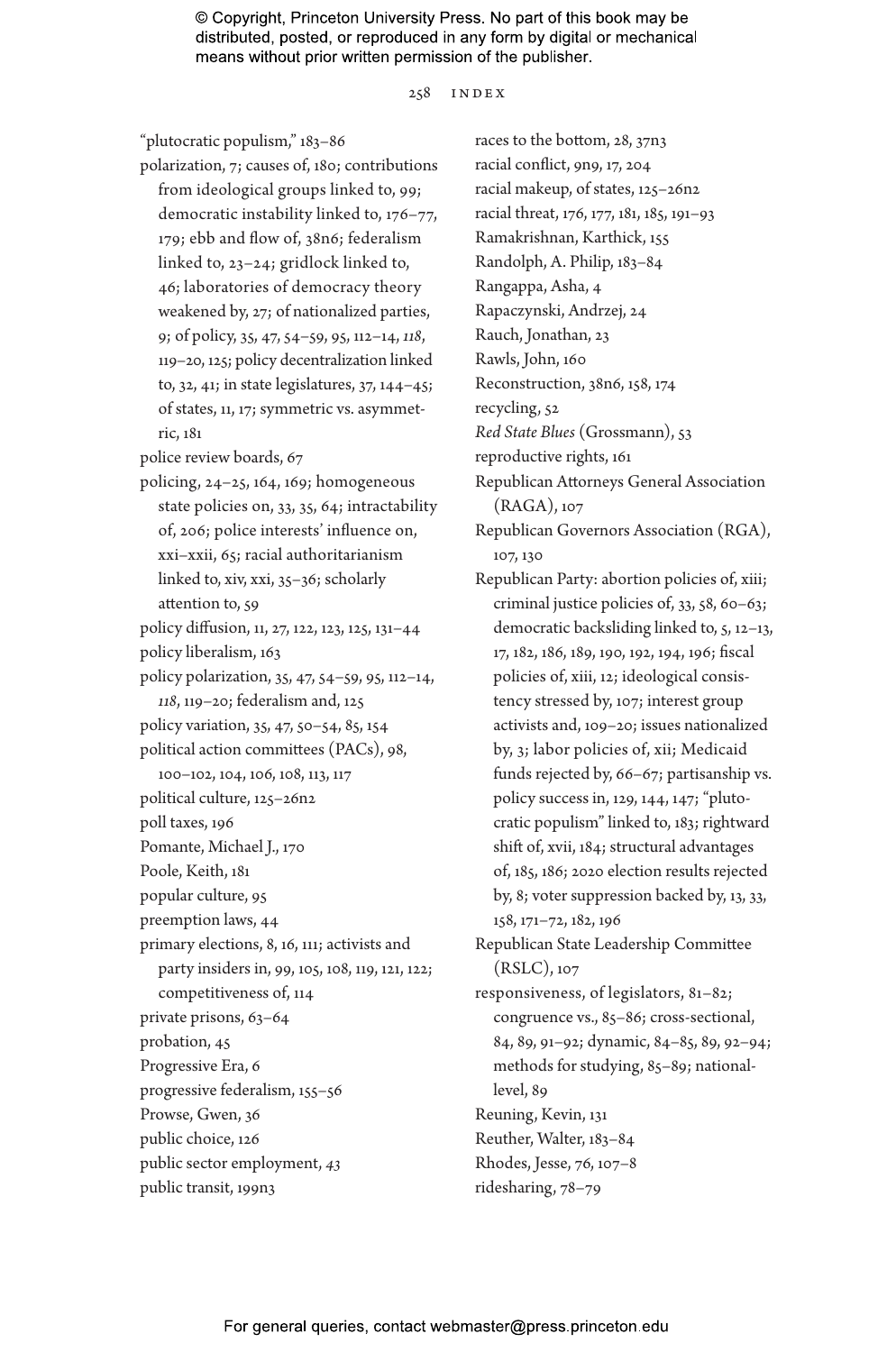258 index

"plutocratic populism," 183–86

polarization, 7; causes of, 180; contributions from ideological groups linked to, 99; democratic instability linked to, 176–77, 179; ebb and flow of, 38n6; federalism linked to, 23–24; gridlock linked to, 46; laboratories of democracy theory weakened by, 27; of nationalized parties, 9; of policy, 35, 47, 54–59, 95, 112–14, *118*, 119–20, 125; policy decentralization linked to, 32, 41; in state legislatures, 37, 144–45; of states, 11, 17; symmetric vs. asymmetric, 181

police review boards, 67

- policing, 24–25, 164, 169; homogeneous state policies on, 33, 35, 64; intractability of, 206; police interests' influence on, xxi–xxii, 65; racial authoritarianism linked to, xiv, xxi, 35–36; scholarly attention to, 59 policy diffusion, 11, 27, 122, 123, 125, 131–44 policy liberalism, 163 policy polarization, 35, 47, 54–59, 95, 112–14, *118*, 119–20; federalism and, 125 policy variation, 35, 47, 50–54, 85, 154 political action committees (PACs), 98, 100–102, 104, 106, 108, 113, 117 political culture, 125–26n2 poll taxes, 196 Pomante, Michael J., 170 Poole, Keith, 181 popular culture, 95 preemption laws, 44 primary elections, 8, 16, 111; activists and party insiders in, 99, 105, 108, 119, 121, 122; competitiveness of, 114 private prisons, 63–64 probation, 45 Progressive Era, 6 progressive federalism, 155–56 Prowse, Gwen, 36 public choice, 126 public sector employment, *43*
- public transit, 199n3

races to the bottom, 28, 37n3 racial conflict, 9n9, 17, 204 racial makeup, of states, 125–26n2 racial threat, 176, 177, 181, 185, 191–93 Ramakrishnan, Karthick, 155 Randolph, A. Philip, 183–84 Rangappa, Asha, 4 Rapaczynski, Andrzej, 24 Rauch, Jonathan, 23 Rawls, John, 160 Reconstruction, 38n6, 158, 174 recycling, 52 *Red State Blues* (Grossmann), 53 reproductive rights, 161 Republican Attorneys General Association (RAGA), 107 Republican Governors Association (RGA), 107, 130 Republican Party: abortion policies of, xiii; criminal justice policies of, 33, 58, 60–63; democratic backsliding linked to, 5, 12–13, 17, 182, 186, 189, 190, 192, 194, 196; fiscal policies of, xiii, 12; ideological consistency stressed by, 107; interest group activists and, 109–20; issues nationalized by, 3; labor policies of, xii; Medicaid funds rejected by, 66–67; partisanship vs. policy success in, 129, 144, 147; "plutocratic populism" linked to, 183; rightward shift of, xvii, 184; structural advantages of, 185, 186; 2020 election results rejected by, 8; voter suppression backed by, 13, 33, 158, 171–72, 182, 196 Republican State Leadership Committee (RSLC), 107

responsiveness, of legislators, 81–82; congruence vs., 85–86; cross-sectional, 84, 89, 91–92; dynamic, 84–85, 89, 92–94; methods for studying, 85–89; nationallevel, 89 Reuning, Kevin, 131 Reuther, Walter, 183–84

- Rhodes, Jesse, 76, 107–8
- ridesharing, 78–79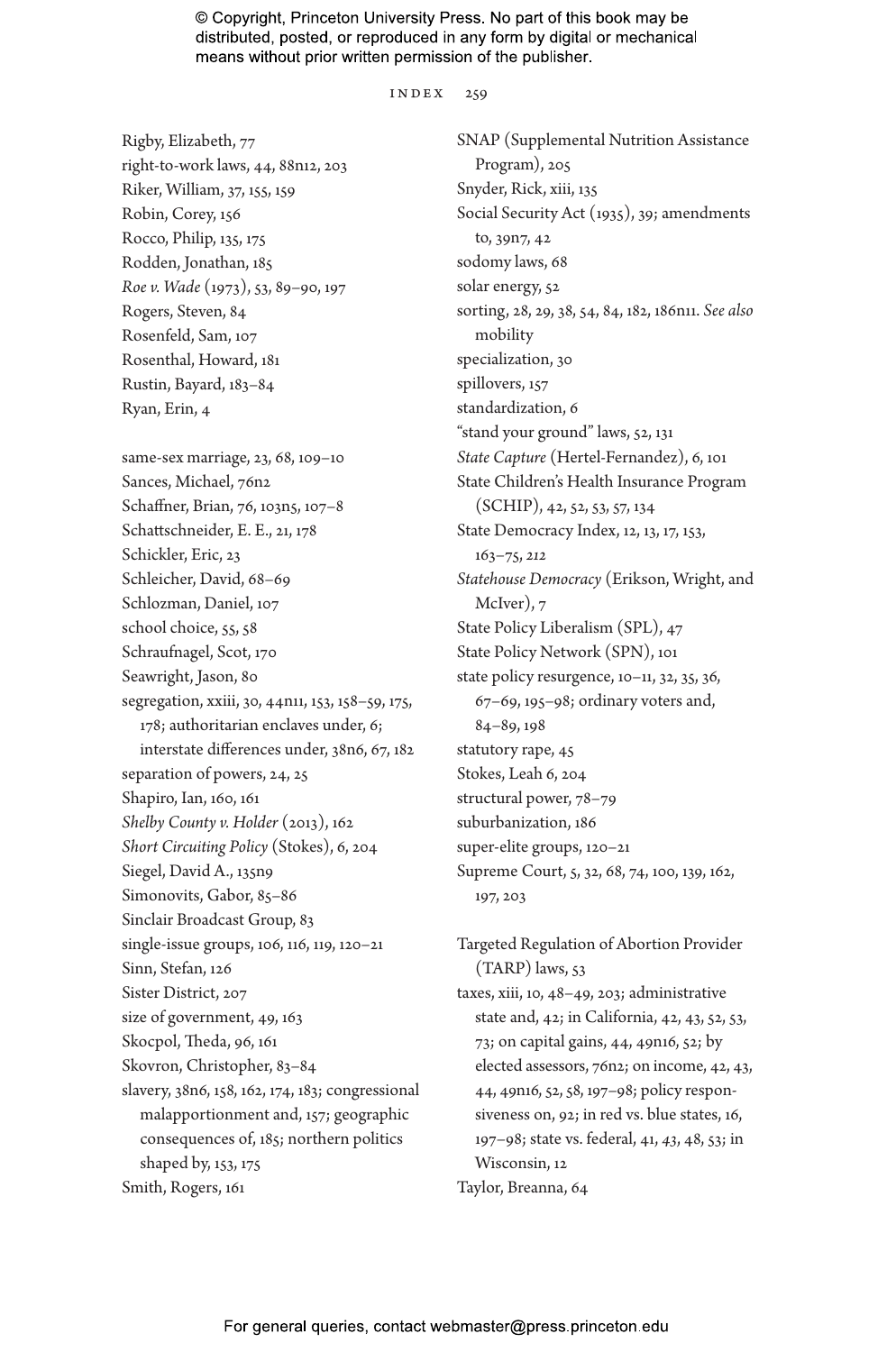index 259

Rigby, Elizabeth, 77 right-to-work laws, 44, 88n12, 203 Riker, William, 37, 155, 159 Robin, Corey, 156 Rocco, Philip, 135, 175 Rodden, Jonathan, 185 *Roe v. Wade* (1973), 53, 89–90, 197 Rogers, Steven, 84 Rosenfeld, Sam, 107 Rosenthal, Howard, 181 Rustin, Bayard, 183–84 Ryan, Erin, 4 same-sex marriage, 23, 68, 109–10 Sances, Michael, 76n2 Schaffner, Brian, 76, 103n5, 107–8 Schattschneider, E. E., 21, 178 Schickler, Eric, 23 Schleicher, David, 68–69 Schlozman, Daniel, 107 school choice, 55, 58 Schraufnagel, Scot, 170 Seawright, Jason, 80 segregation, xxiii, 30, 44n11, 153, 158–59, 175, 178; authoritarian enclaves under, 6; interstate differences under, 38n6, 67, 182 separation of powers, 24, 25 Shapiro, Ian, 160, 161 *Shelby County v. Holder* (2013), 162 *Short Circuiting Policy* (Stokes), 6, 204 Siegel, David A., 135n9 Simonovits, Gabor, 85-86 Sinclair Broadcast Group, 83 single-issue groups, 106, 116, 119, 120–21 Sinn, Stefan, 126 Sister District, 207 size of government, 49, 163 Skocpol, Theda, 96, 161 Skovron, Christopher, 83–84 slavery, 38n6, 158, 162, 174, 183; congressional malapportionment and, 157; geographic consequences of, 185; northern politics shaped by, 153, 175 Smith, Rogers, 161

SNAP (Supplemental Nutrition Assistance Program), 205 Snyder, Rick, xiii, 135 Social Security Act (1935), 39; amendments to, 39n7, 42 sodomy laws, 68 solar energy, 52 sorting, 28, 29, 38, 54, 84, 182, 186n11. *See also* mobility specialization, 30 spillovers, 157 standardization, 6 "stand your ground" laws, 52, 131 *State Capture* (Hertel-Fernandez), 6, 101 State Children's Health Insurance Program (SCHIP), 42, 52, 53, 57, 134 State Democracy Index, 12, 13, 17, 153, 163–75, *212 Statehouse Democracy* (Erikson, Wright, and McIver), 7 State Policy Liberalism (SPL), 47 State Policy Network (SPN), 101 state policy resurgence, 10–11, 32, 35, 36, 67–69, 195–98; ordinary voters and, 84–89, 198 statutory rape, 45 Stokes, Leah 6, 204 structural power, 78–79 suburbanization, 186 super-elite groups, 120–21 Supreme Court, 5, 32, 68, 74, 100, 139, 162, 197, 203

Targeted Regulation of Abortion Provider (TARP) laws, 53 taxes, xiii, 10, 48–49, 203; administrative state and, 42; in California, 42, 43, 52, 53, 73; on capital gains, 44, 49n16, 52; by elected assessors, 76n2; on income, 42, 43, 44, 49n16, 52, 58, 197–98; policy responsiveness on, 92; in red vs. blue states, 16, 197–98; state vs. federal, 41, *43*, 48, 53; in Wisconsin, 12 Taylor, Breanna, 64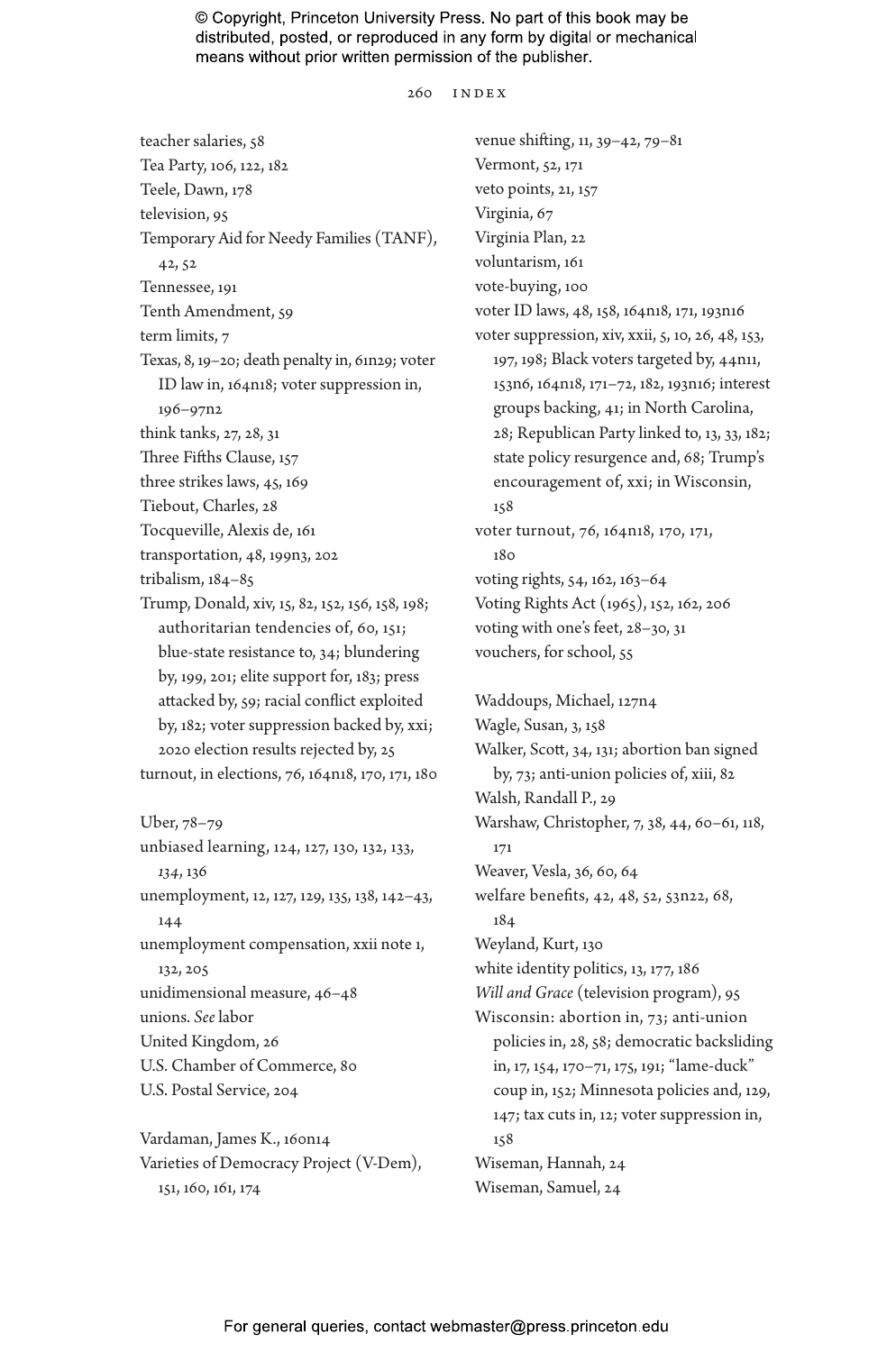260 index

teacher salaries, 58 Tea Party, 106, 122, 182 Teele, Dawn, 178 television, 95 Temporary Aid for Needy Families (TANF), 42, 52 Tennessee, 191 Tenth Amendment, 59 term limits, 7 Texas, 8, 19–20; death penalty in, 61n29; voter ID law in, 164n18; voter suppression in, 196–97n2 think tanks, 27, 28, 31 Three Fifths Clause, 157 three strikes laws, 45, 169 Tiebout, Charles, 28 Tocqueville, Alexis de, 161 transportation, 48, 199n3, 202 tribalism, 184–85 Trump, Donald, xiv, 15, 82, 152, 156, 158, 198; authoritarian tendencies of, 60, 151; blue-state resistance to, 34; blundering by, 199, 201; elite support for, 183; press attacked by, 59; racial conflict exploited by, 182; voter suppression backed by, xxi; 2020 election results rejected by, 25 turnout, in elections, 76, 164n18, 170, 171, 180 Uber, 78–79 unbiased learning, 124, 127, 130, 132, 133, *134*, 136 unemployment, 12, 127, 129, 135, 138, 142–43, 144 unemployment compensation, xxii note 1, 132, 205 unidimensional measure, 46–48 unions. *See* labor United Kingdom, 26 U.S. Chamber of Commerce, 80 U.S. Postal Service, 204

Vardaman, James K., 160n14 Varieties of Democracy Project (V-Dem), 151, 160, 161, 174

venue shifting, 11, 39–42, 79–81 Vermont, 52, 171 veto points, 21, 157 Virginia, 67 Virginia Plan, 22 voluntarism, 161 vote-buying, 100 voter ID laws, 48, 158, 164n18, 171, 193n16 voter suppression, xiv, xxii, 5, 10, 26, 48, 153, 197, 198; Black voters targeted by, 44n11, 153n6, 164n18, 171–72, 182, 193n16; interest groups backing, 41; in North Carolina, 28; Republican Party linked to, 13, 33, 182; state policy resurgence and, 68; Trump's encouragement of, xxi; in Wisconsin, 158 voter turnout, 76, 164n18, 170, 171, 180 voting rights, 54, 162, 163–64 Voting Rights Act (1965), 152, 162, 206 voting with one's feet, 28–30, 31 vouchers, for school, 55 Waddoups, Michael, 127n4 Wagle, Susan, 3, 158 Walker, Scott, 34, 131; abortion ban signed by, 73; anti-union policies of, xiii, 82 Walsh, Randall P., 29 Warshaw, Christopher, 7, 38, 44, 60-61, 118, 171 Weaver, Vesla, 36, 60, 64 welfare benefits, 42, 48, 52, 53n22, 68, 184 Weyland, Kurt, 130 white identity politics, 13, 177, 186 *Will and Grace* (television program), 95 Wisconsin: abortion in, 73; anti-union policies in, 28, 58; democratic backsliding in, 17, 154, 170–71, 175, 191; "lame-duck" coup in, 152; Minnesota policies and, 129, 147; tax cuts in, 12; voter suppression in, 158 Wiseman, Hannah, 24 Wiseman, Samuel, 24